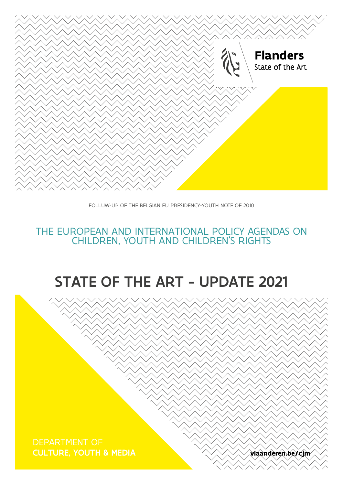**CULTURE, YOUTH & MEDIA views of the culture of the CULTURE, YOUTH & MEDIA** 



# STATE OF THE ART - UPDATE 2021

## CHILDREN, YOUTH AND CHILDREN'S RIGHTS THE EUROPEAN AND INTERNATIONAL POLICY AGENDAS ON CHILDREN, YOUTH AND CHILDREN'S RIGHTS



FOLLOW-UP OF THE BELGIAN EU PRESIDENCY-YOUTH NOTE OF 2010 FOLLUW-UP OF THE BELGIAN EU PRESIDENCY-YOUTH NOTE OF 2010

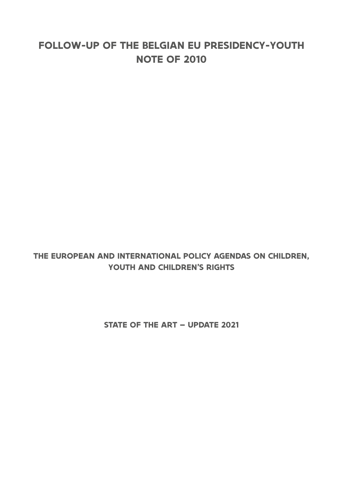## **FOLLOW-UP OF THE BELGIAN EU PRESIDENCY-YOUTH NOTE OF 2010**

## **THE EUROPEAN AND INTERNATIONAL POLICY AGENDAS ON CHILDREN, YOUTH AND CHILDREN'S RIGHTS**

**STATE OF THE ART – UPDATE 2021**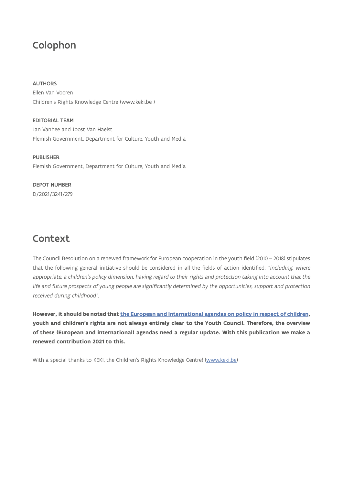## Colophon

## AUTHORS

Ellen Van Vooren Children's Rights Knowledge Centre (www.keki.be )

EDITORIAL TEAM Jan Vanhee and Joost Van Haelst Flemish Government, Department for Culture, Youth and Media

PUBLISHER Flemish Government, Department for Culture, Youth and Media

## DEPOT NUMBER

D/2021/3241/279

## Context

The Council Resolution on a renewed framework for European cooperation in the youth field (2010 – 2018) stipulates that the following general initiative should be considered in all the fields of action identified: "including, where appropriate, a children's policy dimension, having regard to their rights and protection taking into account that the life and future prospects of young people are significantly determined by the opportunities, support and protection received during childhood".

**However, it should be noted that [the European and International agendas on policy in respect of children,](https://rm.coe.int/1680702416) youth and children's rights are not always entirely clear to the Youth Council. Therefore, the overview of these (European and international) agendas need a regular update. With this publication we make a renewed contribution 2021 to this.**

With a special thanks to KEKI, the Children's Rights Knowledge Centre! [\(www.keki.be\)](http://www.keki.be)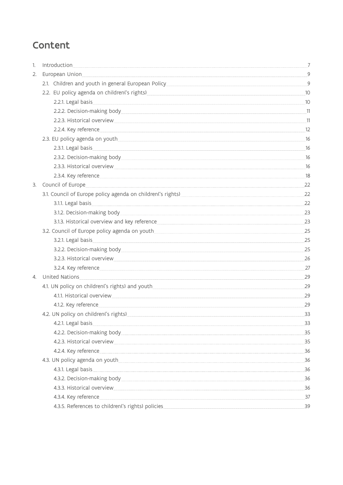## Content

| 1. |                                                                                                                                                                                                                                     | $\overline{7}$ |
|----|-------------------------------------------------------------------------------------------------------------------------------------------------------------------------------------------------------------------------------------|----------------|
| 2. |                                                                                                                                                                                                                                     | 9              |
|    |                                                                                                                                                                                                                                     |                |
|    |                                                                                                                                                                                                                                     | 10             |
|    | 2.2.1. Legal basis entrance and the contract of the contract of the contract of the contract of the contract of                                                                                                                     | 10             |
|    |                                                                                                                                                                                                                                     |                |
|    | 2.2.3. Historical overview experience of the state of the state of the state of the state of the state of the                                                                                                                       | $\_11$         |
|    | 2.2.4. Key reference                                                                                                                                                                                                                | 12             |
|    | 2.3. EU policy agenda on youth example and the state of the state of the state of the state of the state of the state of the state of the state of the state of the state of the state of the state of the state of the state       | 16             |
|    |                                                                                                                                                                                                                                     | 16             |
|    | 2.3.2. Decision-making body entitled and a series of the series of the series of the series of the series of the series of the series of the series of the series of the series of the series of the series of the series of t      | 16             |
|    |                                                                                                                                                                                                                                     | 16             |
|    | 2.3.4. Key reference                                                                                                                                                                                                                | 18             |
| 3. | Council of Europe <b>Europe Europe Europe Europe Europe Europe EU</b>                                                                                                                                                               | 22             |
|    |                                                                                                                                                                                                                                     | 22             |
|    | 3.1.1. Legal basis experience and the set of the set of the set of the set of the set of the set of the set of the set of the set of the set of the set of the set of the set of the set of the set of the set of the set of t      | 22             |
|    | 3.1.2. Decision-making body entitled and a series of the series of the series of the series of the series of the series of the series of the series of the series of the series of the series of the series of the series of t      | 23             |
|    |                                                                                                                                                                                                                                     | 23             |
|    |                                                                                                                                                                                                                                     | 25             |
|    |                                                                                                                                                                                                                                     | 25             |
|    |                                                                                                                                                                                                                                     | 25             |
|    |                                                                                                                                                                                                                                     | 26             |
|    | 3.2.4. Key reference                                                                                                                                                                                                                | 27             |
| 4. | United Nations <b>Example 2018</b> 2019 20:00:00 PM 20:00:00 PM 20:00:00 PM 20:00:00 PM 20:00:00 PM 20:00:00 PM 20:00:00 PM 20:00:00 PM 20:00:00 PM 20:00:00 PM 20:00:00 PM 20:00:00 PM 20:00:00 PM 20:00:00 PM 20:00:00 PM 20:00:0 | 29             |
|    |                                                                                                                                                                                                                                     | 29             |
|    |                                                                                                                                                                                                                                     | 29             |
|    | 4.1.2. Key reference and the contract of the contract of the contract of the contract of the contract of the contract of the contract of the contract of the contract of the contract of the contract of the contract of the c      | 29             |
|    |                                                                                                                                                                                                                                     | 33             |
|    | 4.2.1. Legal basis                                                                                                                                                                                                                  | 33             |
|    |                                                                                                                                                                                                                                     | 35             |
|    |                                                                                                                                                                                                                                     | 35             |
|    | 4.2.4. Key reference                                                                                                                                                                                                                | 36             |
|    |                                                                                                                                                                                                                                     | 36             |
|    | 4.3.1. Legal basis                                                                                                                                                                                                                  | 36             |
|    | 4.3.2. Decision-making body entitled and a series of the series of the series of the series of the series of the series of the series of the series of the series of the series of the series of the series of the series of t      | 36             |
|    | 4.3.3. Historical overview experience of the state of the state of the state of the state of the state of the                                                                                                                       | 36             |
|    | 4.3.4. Key reference                                                                                                                                                                                                                | 37             |
|    | 4.3.5. References to children('s rights) policies                                                                                                                                                                                   | 39             |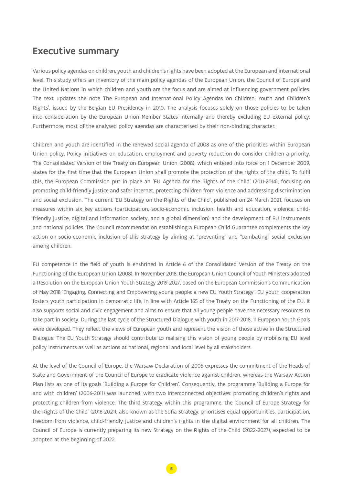## Executive summary

Various policy agendas on children, youth and children's rights have been adopted at the European and international level. This study offers an inventory of the main policy agendas of the European Union, the Council of Europe and the United Nations in which children and youth are the focus and are aimed at influencing government policies. The text updates the note 'The European and International Policy Agendas on Children, Youth and Children's Rights', issued by the Belgian EU Presidency in 2010. The analysis focuses solely on those policies to be taken into consideration by the European Union Member States internally and thereby excluding EU external policy. Furthermore, most of the analysed policy agendas are characterised by their non-binding character.

Children and youth are identified in the renewed social agenda of 2008 as one of the priorities within European Union policy. Policy initiatives on education, employment and poverty reduction do consider children a priority. The Consolidated Version of the Treaty on European Union (2008), which entered into force on 1 December 2009, states for the first time that the European Union shall promote the protection of the rights of the child. To fulfil this, the European Commission put in place an 'EU Agenda for the Rights of the Child' (2011-2014), focusing on promoting child-friendly justice and safer internet, protecting children from violence and addressing discrimination and social exclusion. The current 'EU Strategy on the Rights of the Child', published on 24 March 2021, focuses on measures within six key actions (participation, socio-economic inclusion, health and education, violence, childfriendly justice, digital and information society, and a global dimension) and the development of EU instruments and national policies. The Council recommendation establishing a European Child Guarantee complements the key action on socio-economic inclusion of this strategy by aiming at "preventing" and "combating" social exclusion among children.

EU competence in the field of youth is enshrined in Article 6 of the Consolidated Version of the Treaty on the Functioning of the European Union (2008). In November 2018, the European Union Council of Youth Ministers adopted a Resolution on the European Union Youth Strategy 2019-2027, based on the European Commission's Communication of May 2018 'Engaging, Connecting and Empowering young people: a new EU Youth Strategy'. EU youth cooperation fosters youth participation in democratic life, in line with Article 165 of the Treaty on the Functioning of the EU. It also supports social and civic engagement and aims to ensure that all young people have the necessary resources to take part in society. During the last cycle of the Structured Dialogue with youth in 2017-2018, 11 European Youth Goals were developed. They reflect the views of European youth and represent the vision of those active in the Structured Dialogue. The EU Youth Strategy should contribute to realising this vision of young people by mobilising EU level policy instruments as well as actions at national, regional and local level by all stakeholders.

At the level of the Council of Europe, the Warsaw Declaration of 2005 expresses the commitment of the Heads of State and Government of the Council of Europe to eradicate violence against children, whereas the Warsaw Action Plan lists as one of its goals 'Building a Europe for Children'. Consequently, the programme 'Building a Europe for and with children' (2006-2011) was launched, with two interconnected objectives: promoting children's rights and protecting children from violence. The third Strategy within this programme, the 'Council of Europe Strategy for the Rights of the Child' (2016-2021), also known as the Sofia Strategy, prioritises equal opportunities, participation, freedom from violence, child-friendly justice and children's rights in the digital environment for all children. The Council of Europe is currently preparing its new Strategy on the Rights of the Child (2022-2027), expected to be adopted at the beginning of 2022.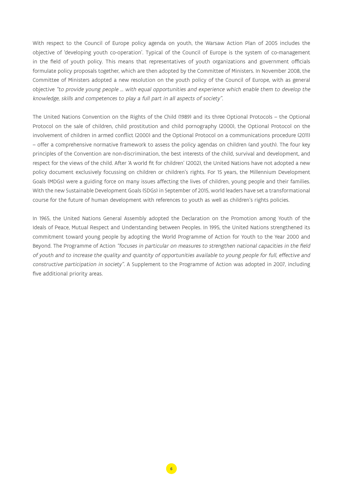With respect to the Council of Europe policy agenda on youth, the Warsaw Action Plan of 2005 includes the objective of 'developing youth co-operation'. Typical of the Council of Europe is the system of co-management in the field of youth policy. This means that representatives of youth organizations and government officials formulate policy proposals together, which are then adopted by the Committee of Ministers. In November 2008, the Committee of Ministers adopted a new resolution on the youth policy of the Council of Europe, with as general objective "to provide young people … with equal opportunities and experience which enable them to develop the knowledge, skills and competences to play a full part in all aspects of society".

The United Nations Convention on the Rights of the Child (1989) and its three Optional Protocols – the Optional Protocol on the sale of children, child prostitution and child pornography (2000), the Optional Protocol on the involvement of children in armed conflict (2000) and the Optional Protocol on a communications procedure (2011) – offer a comprehensive normative framework to assess the policy agendas on children (and youth). The four key principles of the Convention are non-discrimination, the best interests of the child, survival and development, and respect for the views of the child. After 'A world fit for children' (2002), the United Nations have not adopted a new policy document exclusively focussing on children or children's rights. For 15 years, the Millennium Development Goals (MDGs) were a guiding force on many issues affecting the lives of children, young people and their families. With the new Sustainable Development Goals (SDGs) in September of 2015, world leaders have set a transformational course for the future of human development with references to youth as well as children's rights policies.

In 1965, the United Nations General Assembly adopted the Declaration on the Promotion among Youth of the Ideals of Peace, Mutual Respect and Understanding between Peoples. In 1995, the United Nations strengthened its commitment toward young people by adopting the World Programme of Action for Youth to the Year 2000 and Beyond. The Programme of Action "focuses in particular on measures to strengthen national capacities in the field of youth and to increase the quality and quantity of opportunities available to young people for full, effective and constructive participation in society". A Supplement to the Programme of Action was adopted in 2007, including five additional priority areas.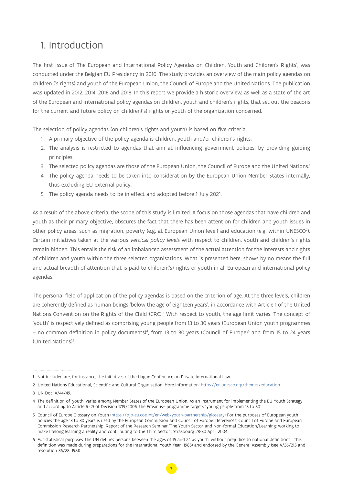## <span id="page-6-0"></span>1. Introduction

The first issue of 'The European and International Policy Agendas on Children, Youth and Children's Rights', was conducted under the Belgian EU Presidency in 2010. The study provides an overview of the main policy agendas on children ('s rights) and youth of the European Union, the Council of Europe and the United Nations. The publication was updated in 2012, 2014, 2016 and 2018. In this report we provide a historic overview, as well as a state of the art of the European and international policy agendas on children, youth and children's rights, that set out the beacons for the current and future policy on children('s) rights or youth of the organization concerned.

The selection of policy agendas (on children's rights and youth) is based on five criteria.

- 1. A primary objective of the policy agenda is children, youth and/or children's rights.
- 2. The analysis is restricted to agendas that aim at influencing government policies, by providing guiding principles.
- 3. The selected policy agendas are those of the European Union, the Council of Europe and the United Nations.<sup>1</sup>
- 4. The policy agenda needs to be taken into consideration by the European Union Member States internally, thus excluding EU external policy.
- 5. The policy agenda needs to be in effect and adopted before 1 July 2021.

As a result of the above criteria, the scope of this study is limited. A focus on those agendas that have children and youth as their primary objective, obscures the fact that there has been attention for children and youth issues in other policy areas, such as migration, poverty (e.g. at European Union level) and education (e.g. within UNESCO2 ). Certain initiatives taken at the various vertical policy levels with respect to children, youth and children's rights remain hidden. This entails the risk of an imbalanced assessment of the actual attention for the interests and rights of children and youth within the three selected organisations. What is presented here, shows by no means the full and actual breadth of attention that is paid to children('s) rights or youth in all European and international policy agendas.

The personal field of application of the policy agendas is based on the criterion of age. At the three levels, children are coherently defined as human beings 'below the age of eighteen years', in accordance with Article 1 of the United Nations Convention on the Rights of the Child (CRC).<sup>3</sup> With respect to youth, the age limit varies. The concept of 'youth' is respectively defined as comprising young people from 13 to 30 years (European Union youth programmes – no common definition in policy documents)<sup>4</sup>, from 13 to 30 years (Council of Europe)<sup>5</sup> and from 15 to 24 years (United Nations)<sup>6</sup>.

<sup>1</sup> Not included are, for instance, the initiatives of the Hague Conference on Private International Law.

<sup>2</sup> United Nations Educational, Scientific and Cultural Organisation. More information: <https://en.unesco.org/themes/education>

<sup>3</sup> UN Doc. A/44/49.

<sup>4</sup> The definition of 'youth' varies among Member States of the European Union. As an instrument for implementing the EU Youth Strategy and according to Article 6 (2) of Decision 1719/2006, the Erasmus+ programme targets "young people from 13 to 30".

<sup>5</sup> Council of Europe Glossary on Youth ([https://pjp-eu.coe.int/en/web/youth-partnership/glossary\)](https://pjp-eu.coe.int/en/web/youth-partnership/glossary) For the purposes of European youth policies the age 13 to 30 years is used by the European Commission and Council of Europe. References: Council of Europe and European Commission Research Partnership: Report of the Research Seminar 'The Youth Sector and Non-formal Education/Learning: working to make lifelong learning a reality and contributing to the Third Sector', Strasbourg 28-30 April 2004.

<sup>6</sup> For statistical purposes, the UN defines persons between the ages of 15 and 24 as youth, without prejudice to national definitions. This definition was made during preparations for the International Youth Year (1985) and endorsed by the General Assembly (see A/36/215 and resolution 36/28, 1981).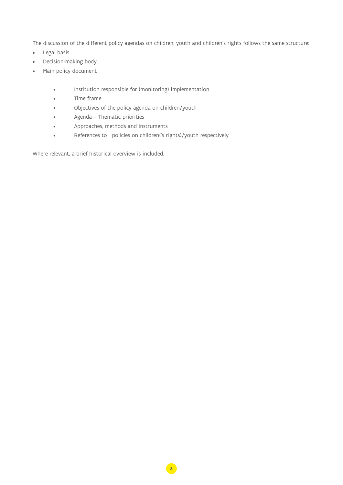The discussion of the different policy agendas on children, youth and children's rights follows the same structure:

- Legal basis
- Decision-making body
- Main policy document
	- Institution responsible for (monitoring) implementation
	- Time frame
	- Objectives of the policy agenda on children/youth
	- Agenda Thematic priorities
	- Approaches, methods and instruments
	- References to policies on children('s rights)/youth respectively

Where relevant, a brief historical overview is included.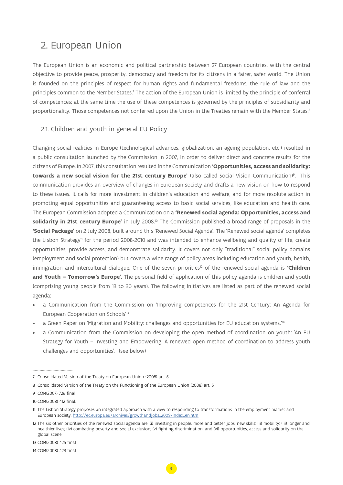## <span id="page-8-0"></span>2. European Union

The European Union is an economic and political partnership between 27 European countries, with the central objective to provide peace, prosperity, democracy and freedom for its citizens in a fairer, safer world. The Union is founded on the principles of respect for human rights and fundamental freedoms, the rule of law and the principles common to the Member States.<sup>7</sup> The action of the European Union is limited by the principle of conferral of competences; at the same time the use of these competences is governed by the principles of subsidiarity and proportionality. Those competences not conferred upon the Union in the Treaties remain with the Member States.<sup>8</sup>

## 2.1. Children and youth in general EU Policy

Changing social realities in Europe (technological advances, globalization, an ageing population, etc.) resulted in a public consultation launched by the Commission in 2007, in order to deliver direct and concrete results for the citizens of Europe. In 2007, this consultation resulted in the Communication **'Opportunities, access and solidarity: towards a new social vision for the 21st century Europe'** (also called Social Vision Communication)9 . This communication provides an overview of changes in European society and drafts a new vision on how to respond to these issues. It calls for more investment in children's education and welfare, and for more resolute action in promoting equal opportunities and guaranteeing access to basic social services, like education and health care. The European Commission adopted a Communication on a **'Renewed social agenda: Opportunities, access and solidarity in 21st century Europe'** in July 2008.10 The Commission published a broad range of proposals in the **'Social Package'** on 2 July 2008, built around this 'Renewed Social Agenda'. The 'Renewed social agenda' completes the Lisbon Strategy<sup>n</sup> for the period 2008-2010 and was intended to enhance wellbeing and quality of life, create opportunities, provide access, and demonstrate solidarity. It covers not only "traditional" social policy domains (employment and social protection) but covers a wide range of policy areas including education and youth, health, immigration and intercultural dialogue. One of the seven priorities<sup>12</sup> of the renewed social agenda is **'Children and Youth – Tomorrow's Europe'**. The personal field of application of this policy agenda is children and youth (comprising young people from 13 to 30 years). The following initiatives are listed as part of the renewed social agenda:

- a Communication from the Commission on 'Improving competences for the 21st Century: An Agenda for European Cooperation on Schools'13
- a Green Paper on 'Migration and Mobility: challenges and opportunities for EU education systems."<sup>4</sup>
- a Communication from the Commission on developing the open method of coordination on youth: 'An EU Strategy for Youth – Investing and Empowering. A renewed open method of coordination to address youth challenges and opportunities'. (see below)

<sup>7</sup> Consolidated Version of the Treaty on European Union (2008) art. 6

<sup>8</sup> Consolidated Version of the Treaty on the Functioning of the European Union (2008) art. 5

<sup>9</sup> COM(2007) 726 final

<sup>10</sup> COM(2008) 412 final.

<sup>11</sup> The Lisbon Strategy proposes an integrated approach with a view to responding to transformations in the employment market and European society, [http://ec.europa.eu/archives/growthandjobs\\_2009/index\\_en.htm](http://ec.europa.eu/archives/growthandjobs_2009/index_en.htm)

<sup>12</sup> The six other priorities of the renewed social agenda are: (i) investing in people, more and better jobs, new skills; (ii) mobility; (iii) longer and healthier lives; (iv) combating poverty and social exclusion; (v) fighting discrimination; and (vi) opportunities, access and solidarity on the global scene.

<sup>13</sup> COM(2008) 425 final

<sup>14</sup> COM(2008) 423 final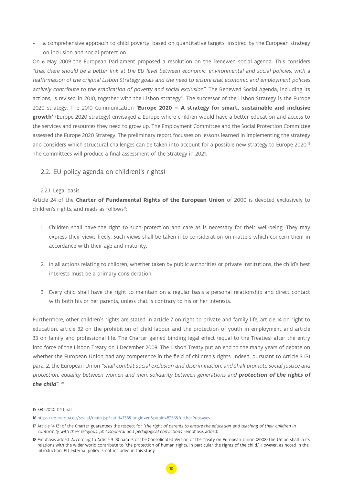<span id="page-9-0"></span>• a comprehensive approach to child poverty, based on quantitative targets, inspired by the European strategy on inclusion and social protection

On 6 May 2009 the European Parliament proposed a resolution on the Renewed social agenda. This considers "that there should be a better link at the EU level between economic, environmental and social policies, with a reaffirmation of the original Lisbon Strategy goals and the need to ensure that economic and employment policies actively contribute to the eradication of poverty and social exclusion". The Renewed Social Agenda, including its actions, is revised in 2010, together with the Lisbon strategy<sup>15</sup>. The successor of the Lisbon Strategy is the Europe 2020 strategy. The 2010 Communication **'Europe 2020 – A strategy for smart, sustainable and inclusive growth'** (Europe 2020 strategy) envisaged a Europe where children would have a better education and access to the services and resources they need to grow up. The Employment Committee and the Social Protection Committee assessed the Europe 2020 Strategy. The preliminary report focusses on lessons learned in implementing the strategy and considers which structural challenges can be taken into account for a possible new strategy to Europe 2020.<sup>16</sup> The Committees will produce a final assessment of the Strategy in 2021.

## 2.2. EU policy agenda on children('s rights)

### 2.2.1. Legal basis

Article 24 of the **Charter of Fundamental Rights of the European Union** of 2000 is devoted exclusively to children's rights, and reads as follows<sup>17</sup>:

- 1. Children shall have the right to such protection and care as is necessary for their well-being. They may express their views freely. Such views shall be taken into consideration on matters which concern them in accordance with their age and maturity.
- 2. In all actions relating to children, whether taken by public authorities or private institutions, the child's best interests must be a primary consideration.
- 3. Every child shall have the right to maintain on a regular basis a personal relationship and direct contact with both his or her parents, unless that is contrary to his or her interests.

Furthermore, other children's rights are stated in article 7 on right to private and family life, article 14 on right to education, article 32 on the prohibition of child labour and the protection of youth in employment and article 33 on family and professional life. The Charter gained binding legal effect (equal to the Treaties) after the entry into force of the Lisbon Treaty on 1 December 2009. The Lisbon Treaty put an end to the many years of debate on whether the European Union had any competence in the field of children's rights. Indeed, pursuant to Article 3 (3) para. 2, the European Union "shall combat social exclusion and discrimination, and shall promote social justice and protection, equality between women and men, solidarity between generations and **protection of the rights of**  the child".<sup>18</sup>

<sup>15</sup> SEC(2010) 114 final

<sup>16</sup> <https://ec.europa.eu/social/main.jsp?catId=738&langId=en&pubId=8256&furtherPubs=yes>

<sup>17</sup> Article 14 (3) of the Charter guarantees the respect for "the right of parents to ensure the education and teaching of their children in conformity with their religious, philosophical and pedagogical convictions" (emphasis added).

<sup>18</sup> Emphasis added. According to Article 3 (3) para. 5 of the Consolidated Version of the Treaty on European Union (2008) the Union shall in its relations with the wider world contribute to "the protection of human rights, in particular the rights of the child." However, as noted in the introduction, EU external policy is not included in this study.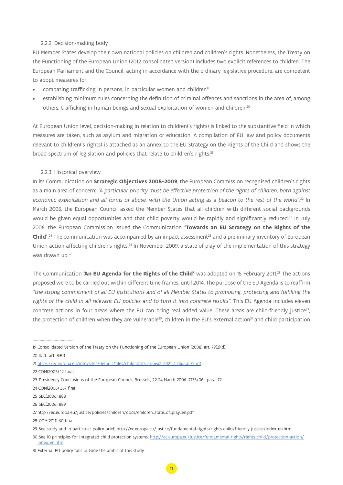### <span id="page-10-0"></span>2.2.2. Decision-making body

EU Member States develop their own national policies on children and children's rights. Nonetheless, the Treaty on the Functioning of the European Union (2012 consolidated version) includes two explicit references to children. The European Parliament and the Council, acting in accordance with the ordinary legislative procedure, are competent to adopt measures for:

- combating trafficking in persons, in particular women and children<sup>19</sup>
- establishing minimum rules concerning the definition of criminal offences and sanctions in the area of, among others, trafficking in human beings and sexual exploitation of women and children.20

At European Union level, decision-making in relation to children('s rights) is linked to the substantive field in which measures are taken, such as asylum and migration or education. A compilation of EU law and policy documents relevant to children('s rights) is attached as an annex to the EU Strategy on the Rights of the Child and shows the broad spectrum of legislation and policies that relate to children's rights.<sup>21</sup>

## 2.2.3. Historical overview

In its Communication on **Strategic Objectives 2005-2009**, the European Commission recognised children's rights as a main area of concern: "A particular priority must be effective protection of the rights of children, both against economic exploitation and all forms of abuse, with the Union acting as a beacon to the rest of the world". 22 In March 2006, the European Council asked the Member States that all children with different social backgrounds would be given equal opportunities and that child poverty would be rapidly and significantly reduced.<sup>23</sup> In July 2006, the European Commission issued the Communication **'Towards an EU Strategy on the Rights of the Child'.<sup>24</sup> T**he communication was accompanied by an impact assessment<sup>25</sup> and a preliminary inventory of European Union action affecting children's rights.<sup>26</sup> In November 2009, a state of play of the implementation of this strategy was drawn up.<sup>27</sup>

The Communication 'An EU Agenda for the Rights of the Child' was adopted on 15 February 2011.<sup>28</sup> The actions proposed were to be carried out within different time frames, until 2014. The purpose of the EU Agenda is to reaffirm "the strong commitment of all EU institutions and of all Member States to promoting, protecting and fulfilling the rights of the child in all relevant EU policies and to turn it into concrete results". This EU Agenda includes eleven concrete actions in four areas where the EU can bring real added value. These areas are child-friendly justice $^{29}$ , the protection of children when they are vulnerable<sup>30</sup>, children in the EU's external action<sup>31</sup> and child participation

25 SEC(2006) 888

<sup>19</sup> Consolidated Version of the Treaty on the Functioning of the European Union (2008) art. 79(2)(d).

<sup>20</sup> Ibid., art. 83(1)

<sup>21</sup> [https://ec.europa.eu/info/sites/default/files/childrights\\_annex2\\_2021\\_4\\_digital\\_0.pdf](https://ec.europa.eu/info/sites/default/files/childrights_annex2_2021_4_digital_0.pdf)

<sup>22</sup> COM(2005) 12 final

<sup>23</sup> Presidency Conclusions of the European Council, Brussels, 22-24 March 2006 (7775/06), para. 72

<sup>24</sup> COM(2006) 367 final

<sup>26</sup> SEC(2006) 889

<sup>27</sup> http://ec.europa.eu/justice/policies/children/docs/children\_state\_of\_play\_en.pdf

<sup>28</sup> COM(2011) 60 final

<sup>29</sup> See study and in particular policy brief, http://ec.europa.eu/justice/fundamental-rights/rights-child/friendly-justice/index\_en.htm

<sup>30</sup> See 10 principles for integrated child protection systems, [http://ec.europa.eu/justice/fundamental-rights/rights-child/protection-action/](http://ec.europa.eu/justice/fundamental-rights/rights-child/protection-action/index_en.htm) [index\\_en.htm](http://ec.europa.eu/justice/fundamental-rights/rights-child/protection-action/index_en.htm)

<sup>31</sup> External EU policy falls outside the ambit of this study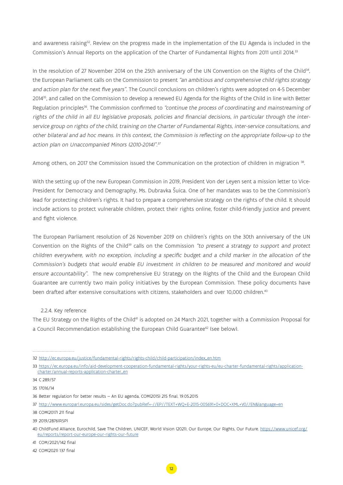<span id="page-11-0"></span>and awareness raising<sup>32</sup>. Review on the progress made in the implementation of the EU Agenda is included in the Commission's Annual Reports on the application of the Charter of Fundamental Rights from 2011 until 2014.33

In the resolution of 27 November 2014 on the 25th anniversary of the UN Convention on the Rights of the Child<sup>34</sup>, the European Parliament calls on the Commission to present "an ambitious and comprehensive child rights strategy and action plan for the next five years". The Council conclusions on children's rights were adopted on 4-5 December 201435, and called on the Commission to develop a renewed EU Agenda for the Rights of the Child in line with Better Regulation principles<sup>36</sup>. The Commission confirmed to "continue the process of coordinating and mainstreaming of rights of the child in all EU legislative proposals, policies and financial decisions, in particular through the interservice group on rights of the child, training on the Charter of Fundamental Rights, inter-service consultations, and other bilateral and ad hoc means. In this context, the Commission is reflecting on the appropriate follow-up to the action plan on Unaccompanied Minors (2010-2014)".<sup>37</sup>

Among others, on 2017 the Commission issued the Communication on the protection of children in migration 38.

With the setting up of the new European Commission in 2019, President Von der Leyen sent a mission letter to Vice-President for Democracy and Demography, Ms. Dubravka Šuica. One of her mandates was to be the Commission's lead for protecting children's rights. It had to prepare a comprehensive strategy on the rights of the child. It should include actions to protect vulnerable children, protect their rights online, foster child-friendly justice and prevent and fight violence.

The European Parliament resolution of 26 November 2019 on children's rights on the 30th anniversary of the UN Convention on the Rights of the Child<sup>39</sup> calls on the Commission "to present a strategy to support and protect children everywhere, with no exception, including a specific budget and a child marker in the allocation of the Commission's budgets that would enable EU investment in children to be measured and monitored and would ensure accountability". The new comprehensive EU Strategy on the Rights of the Child and the European Child Guarantee are currently two main policy initiatives by the European Commission. These policy documents have been drafted after extensive consultations with citizens, stakeholders and over 10,000 children.<sup>40</sup>

## 2.2.4. Key reference

The EU Strategy on the Rights of the Child<sup>41</sup> is adopted on 24 March 2021, together with a Commission Proposal for a Council Recommendation establishing the European Child Guarantee<sup>42</sup> (see below).

<sup>32</sup> [http://ec.europa.eu/justice/fundamental-rights/rights-child/child-participation/index\\_en.htm](http://ec.europa.eu/justice/fundamental-rights/rights-child/child-participation/index_en.htm)

<sup>33</sup> [https://ec.europa.eu/info/aid-development-cooperation-fundamental-rights/your-rights-eu/eu-charter-fundamental-rights/application](https://ec.europa.eu/info/aid-development-cooperation-fundamental-rights/your-rights-eu/eu-charter-fundamental-rights/application-charter/annual-reports-application-charter_en)[charter/annual-reports-application-charter\\_en](https://ec.europa.eu/info/aid-development-cooperation-fundamental-rights/your-rights-eu/eu-charter-fundamental-rights/application-charter/annual-reports-application-charter_en)

<sup>34</sup> C 289/57

<sup>35 17016/14</sup>

<sup>36</sup> Better regulation for better results — An EU agenda, COM(2015) 215 final, 19.05.2015

<sup>37</sup> <http://www.europarl.europa.eu/sides/getDoc.do?pubRef=-//EP//TEXT+WQ+E-2015-005691+0+DOC+XML+V0//EN&language=en>

<sup>38</sup> COM(2017) 211 final

<sup>39 2019/2876(</sup>RSP)

<sup>40</sup> ChildFund Alliance, Eurochild, Save The Children, UNICEF, World Vision (2021), Our Europe, Our Rights, Our Future. [https://www.unicef.org/](https://www.unicef.org/eu/reports/report-our-europe-our-rights-our-future) [eu/reports/report-our-europe-our-rights-our-future](https://www.unicef.org/eu/reports/report-our-europe-our-rights-our-future)

<sup>41</sup> COM/2021/142 final

<sup>42</sup> COM(2021) 137 final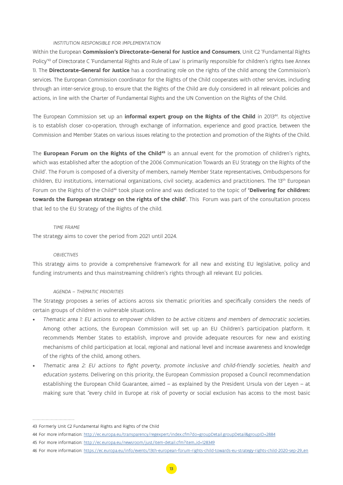#### *INSTITUTION RESPONSIBLE FOR IMPLEMENTATION*

Within the European **Commission's Directorate-General for Justice and Consumers**, Unit C2 'Fundamental Rights Policy'43 of Directorate C 'Fundamental Rights and Rule of Law' is primarily responsible for children's rights (see Annex 1). The **Directorate-General for Justice** has a coordinating role on the rights of the child among the Commission's services. The European Commission coordinator for the Rights of the Child cooperates with other services, including through an inter-service group, to ensure that the Rights of the Child are duly considered in all relevant policies and actions, in line with the Charter of Fundamental Rights and the UN Convention on the Rights of the Child.

The European Commission set up an **informal expert group on the Rights of the Child** in 201344. Its objective is to establish closer co-operation, through exchange of information, experience and good practice, between the Commission and Member States on various issues relating to the protection and promotion of the Rights of the Child.

The **European Forum on the Rights of the Child<sup>45</sup>** is an annual event for the promotion of children's rights, which was established after the adoption of the 2006 Communication 'Towards an EU Strategy on the Rights of the Child'. The Forum is composed of a diversity of members, namely Member State representatives, Ombudspersons for children, EU institutions, international organizations, civil society, academics and practitioners. The 13<sup>th</sup> European Forum on the Rights of the Child<sup>46</sup> took place online and was dedicated to the topic of 'Delivering for children: **towards the European strategy on the rights of the child'**. This Forum was part of the consultation process that led to the EU Strategy of the Rights of the child.

#### *TIME FRAME*

The strategy aims to cover the period from 2021 until 2024.

#### *OBJECTIVES*

This strategy aims to provide a comprehensive framework for all new and existing EU legislative, policy and funding instruments and thus mainstreaming children's rights through all relevant EU policies.

#### *AGENDA – THEMATIC PRIORITIES*

The Strategy proposes a series of actions across six thematic priorities and specifically considers the needs of certain groups of children in vulnerable situations.

- Thematic area 1: EU actions to empower children to be active citizens and members of democratic societies. Among other actions, the European Commission will set up an EU Children's participation platform. It recommends Member States to establish, improve and provide adequate resources for new and existing mechanisms of child participation at local, regional and national level and increase awareness and knowledge of the rights of the child, among others.
- Thematic area 2: EU actions to fight poverty, promote inclusive and child-friendly societies, health and education systems. Delivering on this priority, the European Commission proposed a Council recommendation establishing the European Child Guarantee, aimed – as explained by the President Ursula von der Leyen – at making sure that "every child in Europe at risk of poverty or social exclusion has access to the most basic

<sup>43</sup> Formerly Unit C2 Fundamental Rights and Rights of the Child

<sup>44</sup> For more information:<http://ec.europa.eu/transparency/regexpert/index.cfm?do=groupDetail.groupDetail&groupID=2884>

<sup>45</sup> For more information: [http://ec.europa.eu/newsroom/just/item-detail.cfm?item\\_id=128349](http://ec.europa.eu/newsroom/just/item-detail.cfm?item_id=128349)

<sup>46</sup> For more information: [https://ec.europa.eu/info/events/13th-european-forum-rights-child-towards-eu-strategy-rights-child-2020-sep-29\\_en](https://ec.europa.eu/info/events/13th-european-forum-rights-child-towards-eu-strategy-rights-child-2020-sep-29_en)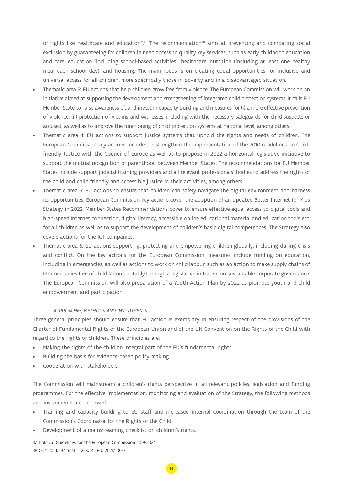of rights like healthcare and education".<sup>47</sup> The recommendation<sup>48</sup> aims at preventing and combating social exclusion by guaranteeing for children in need access to quality key services, such as early childhood education and care, education (including school-based activities), healthcare, nutrition (including at least one healthy meal each school day), and housing. The main focus is on creating equal opportunities for inclusive and universal access for all children, more specifically those in poverty and in a disadvantaged situation.

- Thematic area 3: EU actions that help children grow free from violence. The European Commission will work on an initiative aimed at supporting the development and strengthening of integrated child protection systems. It calls EU Member State to raise awareness of, and invest in capacity building and measures for (i) a more effective prevention of violence, (ii) protection of victims and witnesses, including with the necessary safeguards for child suspects or accused; as well as to improve the functioning of child protection systems at national level, among others.
- Thematic area 4: EU actions to support justice systems that uphold the rights and needs of children. The European Commission key actions include the strengthen the implementation of the 2010 Guidelines on Childfriendly Justice with the Council of Europe as well as to propose in 2022 a horizontal legislative initiative to support the mutual recognition of parenthood between Member States. The recommendations for EU Member States include support judicial training providers and all relevant professionals' bodies to address the rights of the child and child friendly and accessible justice in their activities, among others.
- Thematic area 5: EU actions to ensure that children can safely navigate the digital environment and harness its opportunities. European Commission key actions cover the adoption of an updated Better Internet for Kids Strategy in 2022. Member States Recommendations cover to ensure effective equal access to digital tools and high-speed Internet connection, digital literacy, accessible online educational material and education tools etc. for all children as well as to support the development of children's basic digital competences. The Strategy also covers actions for the ICT companies.
- Thematic area 6: EU actions supporting, protecting and empowering children globally, including during crisis and conflict. On the key actions for the European Commission, measures include funding on education, including in emergencies, as well as actions to work on child labour, such as an action to make supply chains of EU companies free of child labour, notably through a legislative initiative on sustainable corporate governance. The European Commission will also preparation of a Youth Action Plan by 2022 to promote youth and child empowerment and participation.

### *APPROACHES, METHODS AND INSTRUMENTS*

Three general principles should ensure that EU action is exemplary in ensuring respect of the provisions of the Charter of Fundamental Rights of the European Union and of the UN Convention on the Rights of the Child with regard to the rights of children. These principles are:

- Making the rights of the child an integral part of the EU's fundamental rights
- Building the basis for evidence-based policy making
- Cooperation with stakeholders.

The Commission will mainstream a children's rights perspective in all relevant policies, legislation and funding programmes. For the effective implementation, monitoring and evaluation of the Strategy, the following methods and instruments are proposed:

- Training and capacity building to EU staff and increased internal coordination through the team of the Commission's Coordinator for the Rights of the Child.
- Development of a mainstreaming checklist on children's rights.

47 Political Guidelines for the European Commission 2019-2024 48 COM(2021) 137 final (L 223/14, (EU) 2021/1004)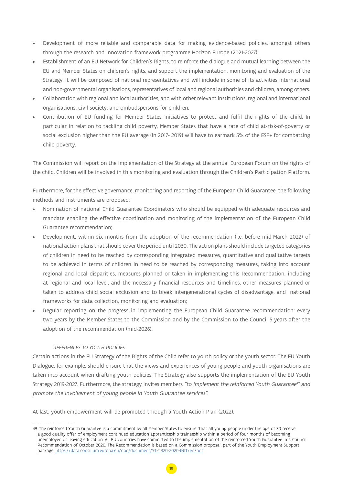- Development of more reliable and comparable data for making evidence-based policies, amongst others through the research and innovation framework programme Horizon Europe (2021-2027).
- Establishment of an EU Network for Children's Rights, to reinforce the dialogue and mutual learning between the EU and Member States on children's rights, and support the implementation, monitoring and evaluation of the Strategy. It will be composed of national representatives and will include in some of its activities international and non-governmental organisations, representatives of local and regional authorities and children, among others.
- Collaboration with regional and local authorities, and with other relevant institutions, regional and international organisations, civil society, and ombudspersons for children.
- Contribution of EU funding for Member States initiatives to protect and fulfil the rights of the child. In particular in relation to tackling child poverty, Member States that have a rate of child at-risk-of-poverty or social exclusion higher than the EU average (in 2017- 2019) will have to earmark 5% of the ESF+ for combatting child poverty.

The Commission will report on the implementation of the Strategy at the annual European Forum on the rights of the child. Children will be involved in this monitoring and evaluation through the Children's Participation Platform.

Furthermore, for the effective governance, monitoring and reporting of the European Child Guarantee the following methods and instruments are proposed:

- Nomination of national Child Guarantee Coordinators who should be equipped with adequate resources and mandate enabling the effective coordination and monitoring of the implementation of the European Child Guarantee recommendation;
- Development, within six months from the adoption of the recommendation (i.e. before mid-March 2022) of national action plans that should cover the period until 2030. The action plans should include targeted categories of children in need to be reached by corresponding integrated measures, quantitative and qualitative targets to be achieved in terms of children in need to be reached by corresponding measures, taking into account regional and local disparities, measures planned or taken in implementing this Recommendation, including at regional and local level, and the necessary financial resources and timelines, other measures planned or taken to address child social exclusion and to break intergenerational cycles of disadvantage, and national frameworks for data collection, monitoring and evaluation;
- Regular reporting on the progress in implementing the European Child Guarantee recommendation: every two years by the Member States to the Commission and by the Commission to the Council 5 years after the adoption of the recommendation (mid-2026).

## *REFERENCES TO YOUTH POLICIES*

Certain actions in the EU Strategy of the Rights of the Child refer to youth policy or the youth sector. The EU Youth Dialogue, for example, should ensure that the views and experiences of young people and youth organisations are taken into account when drafting youth policies. The Strategy also supports the implementation of the EU Youth Strategy 2019-2027. Furthermore, the strategy invites members "to implement the reinforced Youth Guarantee<sup>49</sup> and promote the involvement of young people in Youth Guarantee services".

At last, youth empowerment will be promoted through a Youth Action Plan (2022).

<sup>49</sup> The reinforced Youth Guarantee is a commitment by all Member States to ensure "that all young people under the age of 30 receive a good quality offer of employment continued education apprenticeship traineeship within a period of four months of becoming unemployed or leaving education. All EU countries have committed to the implementation of the reinforced Youth Guarantee in a Council Recommendation of October 2020. The Recommendation is based on a Commission proposal, part of the Youth Employment Support package. <https://data.consilium.europa.eu/doc/document/ST-11320-2020-INIT/en/pdf>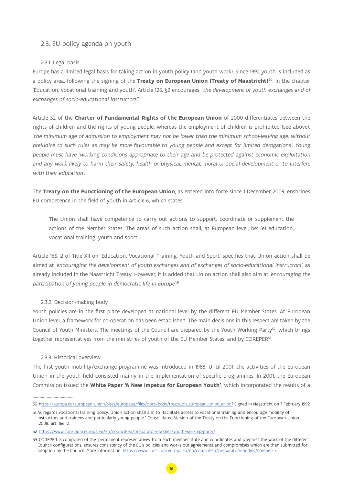## <span id="page-15-0"></span>2.3. EU policy agenda on youth

## 2.3.1. Legal basis

Europe has a limited legal basis for taking action in youth policy (and youth work). Since 1992 youth is included as a policy area, following the signing of the **Treaty on European Union (Treaty of Maastricht)50**. In the chapter 'Education, vocational training and youth', Article 126, §2 encourages "the development of youth exchanges and of exchanges of socio-educational instructors".

Article 32 of the **Charter of Fundamental Rights of the European Union** of 2000 differentiates between the rights of children and the rights of young people: whereas the employment of children is prohibited (see above), 'the minimum age of admission to employment may not be lower than the minimum school-leaving age, without prejudice to such rules as may be more favourable to young people and except for limited derogations'. Young people must have 'working conditions appropriate to their age and be protected against economic exploitation and any work likely to harm their safety, health or physical, mental, moral or social development or to interfere with their education'.

The **Treaty on the Functioning of the European Union**, as entered into force since 1 December 2009, enshrines EU competence in the field of youth in Article 6, which states:

The Union shall have competence to carry out actions to support, coordinate or supplement the actions of the Member States. The areas of such action shall, at European level, be: (e) education, vocational training, youth and sport.

Article 165, 2 of Title XII on 'Education, Vocational Training, Youth and Sport' specifies that Union action shall be aimed at 'encouraging the development of youth exchanges and of exchanges of socio-educational instructors', as already included in the Maastricht Treaty. However, it is added that Union action shall also aim at 'encouraging the participation of young people in democratic life in Europe'. 51

## 2.3.2. Decision-making body

Youth policies are in the first place developed at national level by the different EU Member States. At European Union level, a framework for co-operation has been established. The main decisions in this respect are taken by the Council of Youth Ministers. The meetings of the Council are prepared by the Youth Working Party<sup>52</sup>, which brings together representatives from the ministries of youth of the EU Member States, and by COREPER53.

### 2.3.3. Historical overview

The first youth mobility/exchange programme was introduced in 1988. Until 2001, the activities of the European Union in the youth field consisted mainly in the implementation of specific programmes. In 2001, the European Commission issued the **White Paper 'A New Impetus for European Youth'**, which incorporated the results of a

<sup>50</sup> h[ttps://europa.eu/european-union/sites/europaeu/files/docs/body/treaty\\_on\\_european\\_union\\_en.pdf](ttps://europa.eu/european-union/sites/europaeu/files/docs/body/treaty_on_european_union_en.pdf) Signed in Maastricht on 7 February 1992

<sup>51</sup> As regards vocational training policy, Union action shall aim to "facilitate access to vocational training and encourage mobility of instructors and trainees and particularly young people." Consolidated Version of the Treaty on the Functioning of the European Union (2008) art. 166, 2.

<sup>52</sup> <https://www.consilium.europa.eu/en/council-eu/preparatory-bodies/youth-working-party/>

<sup>53</sup> COREPER is composed of the 'permanent representatives' from each member state and coordinates and prepares the work of the different Council configurations, ensures consistency of the EU's policies and works out agreements and compromises which are then submitted for adoption by the Council. More information:<https://www.consilium.europa.eu/en/council-eu/preparatory-bodies/coreper-i/>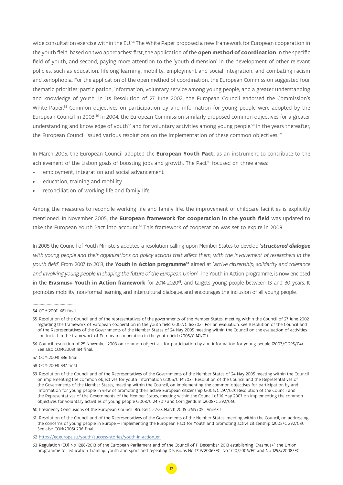wide consultation exercise within the EU.<sup>54</sup> The White Paper proposed a new framework for European cooperation in the youth field, based on two approaches: first, the application of the **open method of coordination** in the specific field of youth, and second, paying more attention to the 'youth dimension' in the development of other relevant policies, such as education, lifelong learning, mobility, employment and social integration, and combating racism and xenophobia. For the application of the open method of coordination, the European Commission suggested four thematic priorities: participation, information, voluntary service among young people, and a greater understanding and knowledge of youth. In its Resolution of 27 June 2002, the European Council endorsed the Commission's White Paper.<sup>55</sup> Common objectives on participation by and information for young people were adopted by the European Council in 2003.56 In 2004, the European Commission similarly proposed common objectives for a greater understanding and knowledge of youth<sup>57</sup> and for voluntary activities among young people.<sup>58</sup> In the years thereafter, the European Council issued various resolutions on the implementation of these common objectives.<sup>59</sup>

In March 2005, the European Council adopted the **European Youth Pact**, as an instrument to contribute to the achievement of the Lisbon goals of boosting jobs and growth. The Pact<sup>60</sup> focused on three areas:

- employment, integration and social advancement
- education, training and mobility
- reconciliation of working life and family life.

Among the measures to reconcile working life and family life, the improvement of childcare facilities is explicitly mentioned. In November 2005, the **European framework for cooperation in the youth field** was updated to take the European Youth Pact into account.<sup>61</sup> This framework of cooperation was set to expire in 2009.

In 2005 the Council of Youth Ministers adopted a resolution calling upon Member States to develop '**structured dialogue** with young people and their organizations on policy actions that affect them, with the involvement of researchers in the youth field'. From 2007 to 2013, the **Youth in Action programme<sup>62</sup>** aimed at 'active citizenship, solidarity and tolerance and involving young people in shaping the future of the European Union'. The Youth in Action programme, is now enclosed in the **Erasmus+ Youth in Action framework** for 2014-2020<sup>63</sup>, and targets young people between 13 and 30 years. It promotes mobility, non-formal learning and intercultural dialogue, and encourages the inclusion of all young people.

<sup>54</sup> COM(2001) 681 final.

<sup>55</sup> Resolution of the Council and of the representatives of the governments of the Member States, meeting within the Council of 27 June 2002 regarding the framework of European cooperation in the youth field (2002/C 168/02). For an evaluation, see Resolution of the Council and of the Representatives of the Governments of the Member States of 24 May 2005 meeting within the Council on the evaluation of activities conducted in the framework of European cooperation in the youth field (2005/C 141/01).

<sup>56</sup> Council resolution of 25 November 2003 on common objectives for participation by and information for young people (2003/C 295/04). See also COM(2003) 184 final.

<sup>57</sup> COM(2004) 336 final

<sup>58</sup> COM(2004) 337 final

<sup>59</sup> Resolution of the Council and of the Representatives of the Governments of the Member States of 24 May 2005 meeting within the Council on implementing the common objectives for youth information (2005/C 141/03); Resolution of the Council and the Representatives of the Governments of the Member States, meeting within the Council, on implementing the common objectives for participation by and information for young people in view of promoting their active European citizenship (2006/C 297/02); Resolution of the Council and the Representatives of the Governments of the Member States, meeting within the Council of 16 May 2007 on implementing the common objectives for voluntary activities of young people (2008/C 241/01) and Corrigendum (2008/C 292/06).

<sup>60</sup> Presidency Conclusions of the European Council, Brussels, 22-23 March 2005 (7619/05), Annex 1.

<sup>61</sup> Resolution of the Council and of the Representatives of the Governments of the Member States, meeting within the Council, on addressing the concerns of young people in Europe — implementing the European Pact for Youth and promoting active citizenship (2005/C 292/03). See also COM(2005) 206 final.

<sup>62</sup> [https://ec.europa.eu/youth/success-stories/youth-in-action\\_en](https://ec.europa.eu/youth/success-stories/youth-in-action_en)

<sup>63</sup> Regulation (EU) No 1288/2013 of the European Parliament and of the Council of 11 December 2013 establishing 'Erasmus+': the Union programme for education, training, youth and sport and repealing Decisions No 1719/2006/EC, No 1720/2006/EC and No 1298/2008/EC.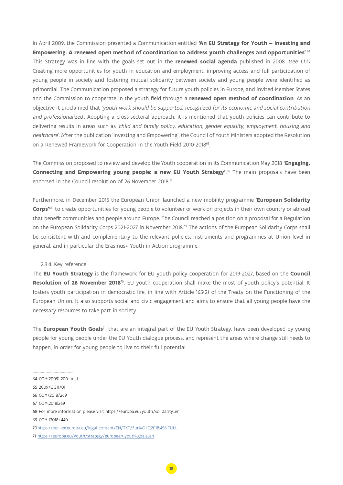<span id="page-17-0"></span>In April 2009, the Commission presented a Communication entitled **'An EU Strategy for Youth – Investing and Empowering. A renewed open method of coordination to address youth challenges and opportunities'**. 64 This Strategy was in line with the goals set out in the **renewed social agenda** published in 2008. (see 1.1.1.) Creating more opportunities for youth in education and employment, improving access and full participation of young people in society and fostering mutual solidarity between society and young people were identified as primordial. The Communication proposed a strategy for future youth policies in Europe, and invited Member States and the Commission to cooperate in the youth field through a **renewed open method of coordination**. As an objective it proclaimed that 'youth work should be supported, recognized for its economic and social contribution and professionalized'. Adopting a cross-sectoral approach, it is mentioned that youth policies can contribute to delivering results in areas such as 'child and family policy, education, gender equality, employment, housing and healthcare'. After the publication 'Investing and Empowering', the Council of Youth Ministers adopted the Resolution on a Renewed Framework for Cooperation in the Youth Field 2010-2018<sup>65</sup>.

The Commission proposed to review and develop the Youth cooperation in its Communication May 2018 **'Engaging, Connecting and Empowering young people: a new EU Youth Strategy'**. 66 The main proposals have been endorsed in the Council resolution of 26 November 2018.<sup>67</sup>

Furthermore, in December 2016 the European Union launched a new mobility programme '**European Solidarity Corps'**68, to create opportunities for young people to volunteer or work on projects in their own country or abroad that benefit communities and people around Europe. The Council reached a position on a proposal for a Regulation on the European Solidarity Corps 2021-2027 in November 2018.<sup>69</sup> The actions of the European Solidarity Corps shall be consistent with and complementary to the relevant policies, instruments and programmes at Union level in general, and in particular the Erasmus+ Youth in Action programme.

### 2.3.4. Key reference

The **EU Youth Strategy** is the framework for EU youth policy cooperation for 2019-2027, based on the **Council Resolution of 26 November 2018**70. EU youth cooperation shall make the most of youth policy's potential. It fosters youth participation in democratic life, in line with Article 165(2) of the Treaty on the Functioning of the European Union. It also supports social and civic engagement and aims to ensure that all young people have the necessary resources to take part in society.

The **European Youth Goals**71, that are an integral part of the EU Youth Strategy, have been developed by young people for young people under the EU Youth dialogue process, and represent the areas where change still needs to happen, in order for young people to live to their full potential.

- 65 2009/C 311/01
- 66 COM/2018/269
- 67 COM(2018)269

69 COM (2018) 440

<sup>64</sup> COM(2009) 200 final.

<sup>68</sup> For more information please visit https://europa.eu/youth/solidarity\_en

<sup>70</sup><https://eur-lex.europa.eu/legal-content/EN/TXT/?uri=OJ:C:2018:456:FULL>

<sup>71</sup> [https://europa.eu/youth/strategy/european-youth-goals\\_en](https://europa.eu/youth/strategy/european-youth-goals_en)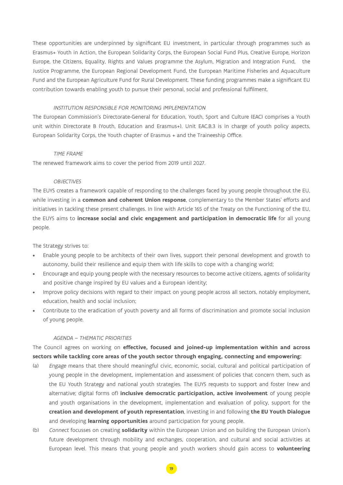These opportunities are underpinned by significant EU investment, in particular through programmes such as Erasmus+ Youth in Action, the European Solidarity Corps, the European Social Fund Plus, Creative Europe, Horizon Europe, the Citizens, Equality, Rights and Values programme the Asylum, Migration and Integration Fund, the Justice Programme, the European Regional Development Fund, the European Maritime Fisheries and Aquaculture Fund and the European Agriculture Fund for Rural Development. These funding programmes make a significant EU contribution towards enabling youth to pursue their personal, social and professional fulfilment.

### INSTITUTION RESPONSIBLE FOR MONITORING IMPLEMENTATION

The European Commission's Directorate-General for Education, Youth, Sport and Culture (EAC) comprises a Youth unit within Directorate B (Youth, Education and Erasmus+). Unit EAC.B.3 is in charge of youth policy aspects, European Solidarity Corps, the Youth chapter of Erasmus + and the Traineeship Office.

#### TIME FRAME

The renewed framework aims to cover the period from 2019 until 2027.

### **OBJECTIVES**

The EUYS creates a framework capable of responding to the challenges faced by young people throughout the EU, while investing in a **common and coherent Union response**, complementary to the Member States' efforts and initiatives in tackling these present challenges. In line with Article 165 of the Treaty on the Functioning of the EU, the EUYS aims to **increase social and civic engagement and participation in democratic life** for all young people.

The Strategy strives to:

- Enable young people to be architects of their own lives, support their personal development and growth to autonomy, build their resilience and equip them with life skills to cope with a changing world;
- Encourage and equip young people with the necessary resources to become active citizens, agents of solidarity and positive change inspired by EU values and a European identity;
- Improve policy decisions with regard to their impact on young people across all sectors, notably employment, education, health and social inclusion;
- Contribute to the eradication of youth poverty and all forms of discrimination and promote social inclusion of young people.

#### AGENDA – THEMATIC PRIORITIES

The Council agrees on working on **effective, focused and joined-up implementation within and across sectors while tackling core areas of the youth sector through engaging, connecting and empowering:**

- (a) Engage means that there should meaningful civic, economic, social, cultural and political participation of young people in the development, implementation and assessment of policies that concern them, such as the EU Youth Strategy and national youth strategies. The EUYS requests to support and foster (new and alternative; digital forms of) **inclusive democratic participation, active involvement** of young people and youth organisations in the development, implementation and evaluation of policy, support for the **creation and development of youth representation**, investing in and following **the EU Youth Dialogue** and developing **learning opportunities** around participation for young people.
- (b) Connect focusses on creating **solidarity** within the European Union and on building the European Union's future development through mobility and exchanges, cooperation, and cultural and social activities at European level. This means that young people and youth workers should gain access to **volunteering**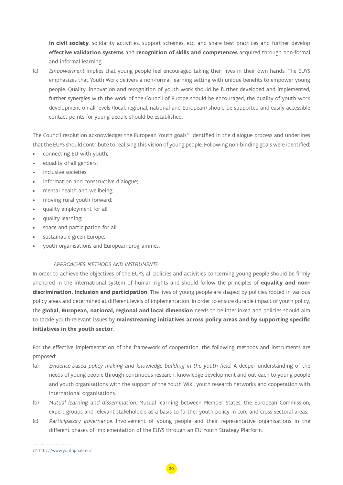**in civil society**, solidarity activities, support schemes, etc. and share best practices and further develop **effective validation systems** and **recognition of skills and competences** acquired through non-formal and informal learning.

(c) Empowerment implies that young people feel encouraged taking their lives in their own hands. The EUYS emphasizes that Youth Work delivers a non-formal learning setting with unique benefits to empower young people. Quality, innovation and recognition of youth work should be further developed and implemented, further synergies with the work of the Council of Europe should be encouraged, the quality of youth work development on all levels (local, regional, national and European) should be supported and easily accessible contact points for young people should be established.

The Council resolution acknowledges the European Youth goals<sup>72</sup> identified in the dialogue process and underlines that the EUYS should contribute to realising this vision of young people. Following non-binding goals were identified:

- connecting EU with youth;
- equality of all genders;
- inclusive societies:
- information and constructive dialogue;
- mental health and wellbeing;
- moving rural youth forward;
- quality employment for all;
- quality learning;
- space and participation for all;
- sustainable green Europe;
- youth organisations and European programmes.

## APPROACHES, METHODS AND INSTRUMENTS

In order to achieve the objectives of the EUYS, all policies and activities concerning young people should be firmly anchored in the international system of human rights and should follow the principles of **equality and nondiscrimination, inclusion and participation**. The lives of young people are shaped by policies rooted in various policy areas and determined at different levels of implementation. In order to ensure durable impact of youth policy, the **global, European, national, regional and local dimension** needs to be interlinked and policies should aim to tackle youth-relevant issues by **mainstreaming initiatives across policy areas and by supporting specific initiatives in the youth sector**.

For the effective implementation of the framework of cooperation, the following methods and instruments are proposed:

- (a) Evidence-based policy making and knowledge building in the youth field. A deeper understanding of the needs of young people through continuous research, knowledge development and outreach to young people and youth organisations with the support of the Youth Wiki, youth research networks and cooperation with international organisations.
- (b) Mutual learning and dissemination. Mutual learning between Member States, the European Commission, expert groups and relevant stakeholders as a basis to further youth policy in core and cross-sectoral areas.
- (c) Participatory governance. Involvement of young people and their representative organisations in the different phases of implementation of the EUYS through an EU Youth Strategy Platform.

<sup>72</sup> <http://www.youthgoals.eu/>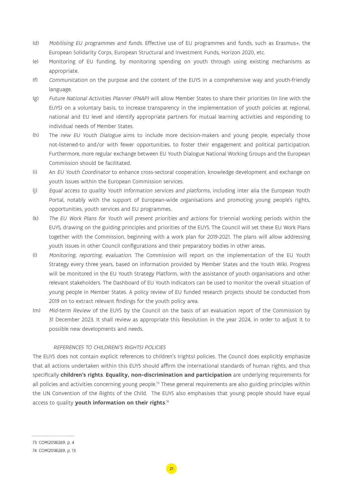- (d) Mobilising EU programmes and funds. Effective use of EU programmes and funds, such as Erasmus+, the European Solidarity Corps, European Structural and Investment Funds, Horizon 2020, etc.
- (e) Monitoring of EU funding, by monitoring spending on youth through using existing mechanisms as appropriate.
- (f) Communication on the purpose and the content of the EUYS in a comprehensive way and youth-friendly language.
- (g) Future National Activities Planner (FNAP) will allow Member States to share their priorities (in line with the EUYS) on a voluntary basis, to increase transparency in the implementation of youth policies at regional, national and EU level and identify appropriate partners for mutual learning activities and responding to individual needs of Member States.
- (h) The new EU Youth Dialogue aims to include more decision-makers and young people, especially those not-listened-to and/or with fewer opportunities, to foster their engagement and political participation. Furthermore, more regular exchange between EU Youth Dialogue National Working Groups and the European Commission should be facilitated.
- (i) An EU Youth Coordinator to enhance cross-sectoral cooperation, knowledge development and exchange on youth issues within the European Commission services.
- (j) Equal access to quality Youth Information services and platforms, including inter alia the European Youth Portal, notably with the support of European-wide organisations and promoting young people's rights, opportunities, youth services and EU programmes.
- (k) The EU Work Plans for Youth will present priorities and actions for triennial working periods within the EUYS, drawing on the guiding principles and priorities of the EUYS. The Council will set these EU Work Plans together with the Commission, beginning with a work plan for 2019-2021. The plans will allow addressing youth issues in other Council configurations and their preparatory bodies in other areas.
- (l) Monitoring, reporting, evaluation. The Commission will report on the implementation of the EU Youth Strategy every three years, based on information provided by Member States and the Youth Wiki. Progress will be monitored in the EU Youth Strategy Platform, with the assistance of youth organisations and other relevant stakeholders. The Dashboard of EU Youth Indicators can be used to monitor the overall situation of young people in Member States. A policy review of EU funded research projects should be conducted from 2019 on to extract relevant findings for the youth policy area.
- (m) Mid-term Review of the EUYS by the Council on the basis of an evaluation report of the Commission by 31 December 2023. It shall review as appropriate this Resolution in the year 2024, in order to adjust it to possible new developments and needs.

## REFERENCES TO CHILDREN('S RIGHTS) POLICIES

The EUYS does not contain explicit references to children's (rights) policies. The Council does explicitly emphasize that all actions undertaken within this EUYS should affirm the international standards of human rights, and thus specifically **children's rights**. **Equality, non-discrimination and participation** are underlying requirements for all policies and activities concerning young people.<sup>73</sup> These general requirements are also guiding principles within the UN Convention of the Rights of the Child. The EUYS also emphasises that young people should have equal access to quality **youth information on their rights**. 74

<sup>73</sup> COM(2018)269, p. 4

<sup>74</sup> COM(2018)269, p. 13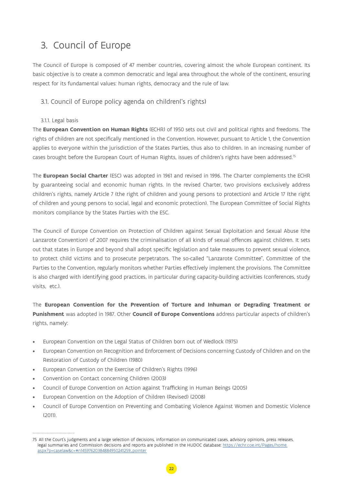## <span id="page-21-0"></span>3. Council of Europe

The Council of Europe is composed of 47 member countries, covering almost the whole European continent. Its basic objective is to create a common democratic and legal area throughout the whole of the continent, ensuring respect for its fundamental values: human rights, democracy and the rule of law.

## 3.1. Council of Europe policy agenda on children('s rights)

## 3.1.1. Legal basis

The **European Convention on Human Rights** (ECHR) of 1950 sets out civil and political rights and freedoms. The rights of children are not specifically mentioned in the Convention. However, pursuant to Article 1, the Convention applies to everyone within the jurisdiction of the States Parties, thus also to children. In an increasing number of cases brought before the European Court of Human Rights, issues of children's rights have been addressed.75

The **European Social Charter** (ESC) was adopted in 1961 and revised in 1996. The Charter complements the ECHR by guaranteeing social and economic human rights. In the revised Charter, two provisions exclusively address children's rights, namely Article 7 (the right of children and young persons to protection) and Article 17 (the right of children and young persons to social, legal and economic protection). The European Committee of Social Rights monitors compliance by the States Parties with the ESC.

The Council of Europe Convention on Protection of Children against Sexual Exploitation and Sexual Abuse (the Lanzarote Convention) of 2007 requires the criminalisation of all kinds of sexual offences against children. It sets out that states in Europe and beyond shall adopt specific legislation and take measures to prevent sexual violence, to protect child victims and to prosecute perpetrators. The so-called "Lanzarote Committee", Committee of the Parties to the Convention, regularly monitors whether Parties effectively implement the provisions. The Committee is also charged with identifying good practices, in particular during capacity-building activities (conferences, study visits, etc.).

The **European Convention for the Prevention of Torture and Inhuman or Degrading Treatment or Punishment** was adopted in 1987. Other **Council of Europe Conventions** address particular aspects of children's rights, namely:

- European Convention on the Legal Status of Children born out of Wedlock (1975)
- European Convention on Recognition and Enforcement of Decisions concerning Custody of Children and on the Restoration of Custody of Children (1980)
- European Convention on the Exercise of Children's Rights (1996)
- Convention on Contact concerning Children (2003)
- Council of Europe Convention on Action against Trafficking in Human Beings (2005)
- European Convention on the Adoption of Children (Revised) (2008)
- Council of Europe Convention on Preventing and Combating Violence Against Women and Domestic Violence (2011).

<sup>75</sup> All the Court's judgments and a large selection of decisions, information on communicated cases, advisory opinions, press releases, legal summaries and Commission decisions and reports are published in the HUDOC database: [https://echr.coe.int/Pages/home.](https://echr.coe.int/Pages/home.aspx?p=caselaw&c=#n14597620384884950241259_pointer) [aspx?p=caselaw&c=#n14597620384884950241259\\_pointer](https://echr.coe.int/Pages/home.aspx?p=caselaw&c=#n14597620384884950241259_pointer)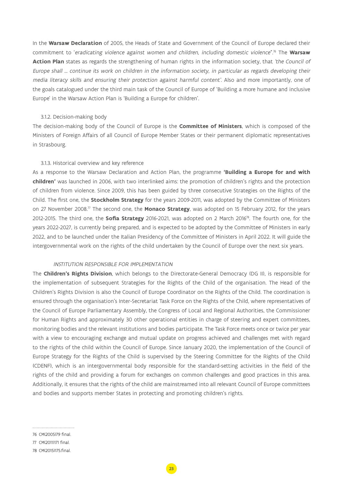<span id="page-22-0"></span>In the **Warsaw Declaration** of 2005, the Heads of State and Government of the Council of Europe declared their commitment to 'eradicating violence against women and children, including domestic violence''.76 The **Warsaw Action Plan** states as regards the strengthening of human rights in the information society, that 'the Council of Europe shall … continue its work on children in the information society, in particular as regards developing their media literacy skills and ensuring their protection against harmful content'. Also and more importantly, one of the goals catalogued under the third main task of the Council of Europe of 'Building a more humane and inclusive Europe' in the Warsaw Action Plan is 'Building a Europe for children'.

#### 3.1.2. Decision-making body

The decision-making body of the Council of Europe is the **Committee of Ministers**, which is composed of the Ministers of Foreign Affairs of all Council of Europe Member States or their permanent diplomatic representatives in Strasbourg.

#### 3.1.3. Historical overview and key reference

As a response to the Warsaw Declaration and Action Plan, the programme **'Building a Europe for and with children'** was launched in 2006, with two interlinked aims: the promotion of children's rights and the protection of children from violence. Since 2009, this has been guided by three consecutive Strategies on the Rights of the Child. The first one, the **Stockholm Strategy** for the years 2009-2011, was adopted by the Committee of Ministers on 27 November 2008.77 The second one, the **Monaco Strategy**, was adopted on 15 February 2012, for the years 2012-2015. The third one, the **Sofia Strategy** 2016-2021, was adopted on 2 March 201678. The fourth one, for the years 2022-2027, is currently being prepared, and is expected to be adopted by the Committee of Ministers in early 2022, and to be launched under the Italian Presidency of the Committee of Ministers in April 2022. It will guide the intergovernmental work on the rights of the child undertaken by the Council of Europe over the next six years.

### INSTITUTION RESPONSIBLE FOR IMPLEMENTATION

The **Children's Rights Division**, which belongs to the Directorate-General Democracy (DG II), is responsible for the implementation of subsequent Strategies for the Rights of the Child of the organisation. The Head of the Children's Rights Division is also the Council of Europe Coordinator on the Rights of the Child. The coordination is ensured through the organisation's Inter-Secretariat Task Force on the Rights of the Child, where representatives of the Council of Europe Parliamentary Assembly, the Congress of Local and Regional Authorities, the Commissioner for Human Rights and approximately 30 other operational entities in charge of steering and expert committees, monitoring bodies and the relevant institutions and bodies participate. The Task Force meets once or twice per year with a view to encouraging exchange and mutual update on progress achieved and challenges met with regard to the rights of the child within the Council of Europe. Since January 2020, the implementation of the Council of Europe Strategy for the Rights of the Child is supervised by the Steering Committee for the Rights of the Child (CDENF), which is an intergovernmental body responsible for the standard-setting activities in the field of the rights of the child and providing a forum for exchanges on common challenges and good practices in this area. Additionally, it ensures that the rights of the child are mainstreamed into all relevant Council of Europe committees and bodies and supports member States in protecting and promoting children's rights.

<sup>76</sup> CM(2005)79 final.

<sup>77</sup> CM(2011)171 final.

<sup>78</sup> CM(2015)175.final.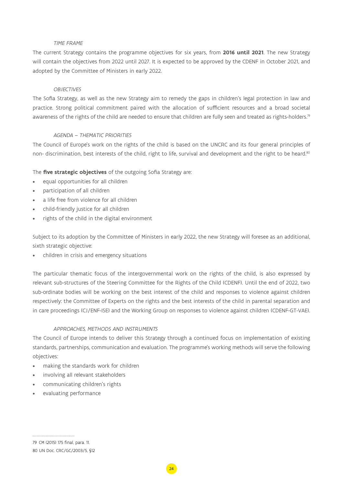## TIME FRAME

The current Strategy contains the programme objectives for six years, from **2016 until 2021**. The new Strategy will contain the objectives from 2022 until 2027. It is expected to be approved by the CDENF in October 2021, and adopted by the Committee of Ministers in early 2022.

## **OBJECTIVES**

The Sofia Strategy, as well as the new Strategy aim to remedy the gaps in children's legal protection in law and practice. Strong political commitment paired with the allocation of sufficient resources and a broad societal awareness of the rights of the child are needed to ensure that children are fully seen and treated as rights-holders.<sup>79</sup>

## AGENDA – THEMATIC PRIORITIES

The Council of Europe's work on the rights of the child is based on the UNCRC and its four general principles of non- discrimination, best interests of the child, right to life, survival and development and the right to be heard.<sup>80</sup>

The **five strategic objectives** of the outgoing Sofia Strategy are:

- equal opportunities for all children
- participation of all children
- a life free from violence for all children
- child-friendly justice for all children
- rights of the child in the digital environment

Subject to its adoption by the Committee of Ministers in early 2022, the new Strategy will foresee as an additional, sixth strategic objective:

• children in crisis and emergency situations

The particular thematic focus of the intergovernmental work on the rights of the child, is also expressed by relevant sub-structures of the Steering Committee for the Rights of the Child (CDENF). Until the end of 2022, two sub-ordinate bodies will be working on the best interest of the child and responses to violence against children respectively: the Committee of Experts on the rights and the best interests of the child in parental separation and in care proceedings (CJ/ENF-ISE) and the Working Group on responses to violence against children (CDENF-GT-VAE).

### APPROACHES, METHODS AND INSTRUMENTS

The Council of Europe intends to deliver this Strategy through a continued focus on implementation of existing standards, partnerships, communication and evaluation. The programme's working methods will serve the following objectives:

- making the standards work for children
- involving all relevant stakeholders
- communicating children's rights
- evaluating performance

<sup>79</sup> CM (2015) 175 final, para. 11.

<sup>80</sup> UN Doc. CRC/GC/2003/5, §12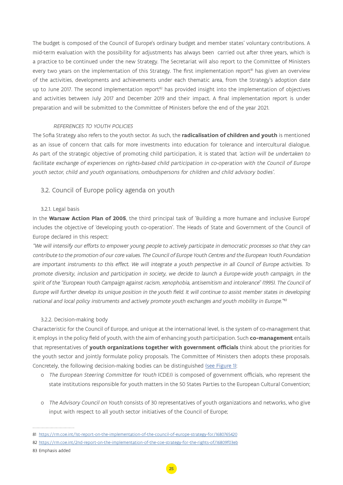<span id="page-24-0"></span>The budget is composed of the Council of Europe's ordinary budget and member states' voluntary contributions. A mid-term evaluation with the possibility for adjustments has always been carried out after three years, which is a practice to be continued under the new Strategy. The Secretariat will also report to the Committee of Ministers every two years on the implementation of this Strategy. The first implementation report<sup>81</sup> has given an overview of the activities, developments and achievements under each thematic area, from the Strategy's adoption date up to June 2017. The second implementation report<sup>82</sup> has provided insight into the implementation of objectives and activities between July 2017 and December 2019 and their impact. A final implementation report is under preparation and will be submitted to the Committee of Ministers before the end of the year 2021.

#### REFERENCES TO YOUTH POLICIES

The Sofia Strategy also refers to the youth sector. As such, the **radicalisation of children and youth** is mentioned as an issue of concern that calls for more investments into education for tolerance and intercultural dialogue. As part of the strategic objective of promoting child participation, it is stated that 'action will be undertaken to facilitate exchange of experiences on rights-based child participation in co-operation with the Council of Europe youth sector, child and youth organisations, ombudspersons for children and child advisory bodies'.

## 3.2. Council of Europe policy agenda on youth

#### 3.2.1. Legal basis

In the **Warsaw Action Plan of 2005**, the third principal task of 'Building a more humane and inclusive Europe' includes the objective of 'developing youth co-operation'. The Heads of State and Government of the Council of Europe declared in this respect:

"We will intensify our efforts to empower young people to actively participate in democratic processes so that they can contribute to the promotion of our core values. The Council of Europe Youth Centres and the European Youth Foundation are important instruments to this effect. We will integrate a youth perspective in all Council of Europe activities. To promote diversity, inclusion and participation in society, we decide to launch a Europe-wide youth campaign, in the spirit of the "European Youth Campaign against racism, xenophobia, antisemitism and intolerance" (1995). The Council of Europe will further develop its unique position in the youth field. It will continue to assist member states in developing national and local policy instruments and actively promote youth exchanges and youth mobility in Europe."83

#### 3.2.2. Decision-making body

Characteristic for the Council of Europe, and unique at the international level, is the system of co-management that it employs in the policy field of youth, with the aim of enhancing youth participation. Such **co-management** entails that representatives of **youth organizations together with government officials** think about the priorities for the youth sector and jointly formulate policy proposals. The Committee of Ministers then adopts these proposals. Concretely, the following decision-making bodies can be distinguished [\(see Figure 1\)](#page-25-0):

- o The European Steering Committee for Youth (CDEJ) is composed of government officials, who represent the state institutions responsible for youth matters in the 50 States Parties to the European Cultural Convention;
- o The Advisory Council on Youth consists of 30 representatives of youth organizations and networks, who give input with respect to all youth sector initiatives of the Council of Europe;

<sup>81</sup> <https://rm.coe.int/1st-report-on-the-implementation-of-the-council-of-europe-strategy-for/1680765420>

<sup>82</sup> <https://rm.coe.int/2nd-report-on-the-implementation-of-the-coe-strategy-for-the-rights-of/16809f03eb>

<sup>83</sup> Emphasis added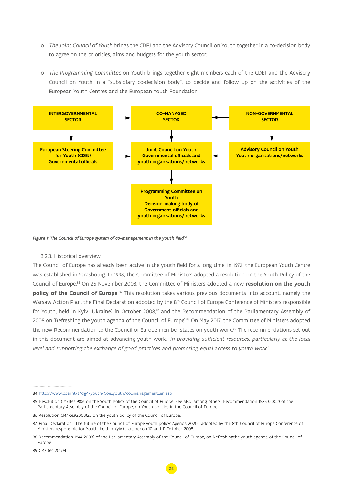- <span id="page-25-0"></span>o The Joint Council of Youth brings the CDEJ and the Advisory Council on Youth together in a co-decision body to agree on the priorities, aims and budgets for the youth sector;
- o The Programming Committee on Youth brings together eight members each of the CDEJ and the Advisory Council on Youth in a "subsidiary co-decision body", to decide and follow up on the activities of the European Youth Centres and the European Youth Foundation.

![](_page_25_Figure_2.jpeg)

Figure 1: The Council of Europe system of co-management in the youth field<sup>84</sup>

### 3.2.3. Historical overview

The Council of Europe has already been active in the youth field for a long time. In 1972, the European Youth Centre was established in Strasbourg. In 1998, the Committee of Ministers adopted a resolution on the Youth Policy of the Council of Europe.85 On 25 November 2008, the Committee of Ministers adopted a new **resolution on the youth policy of the Council of Europe**. 86 This resolution takes various previous documents into account, namely the Warsaw Action Plan, the Final Declaration adopted by the 8<sup>th</sup> Council of Europe Conference of Ministers responsible for Youth, held in Kyiv (Ukraine) in October 2008,<sup>87</sup> and the Recommendation of the Parliamentary Assembly of 2008 on 'Refreshing the youth agenda of the Council of Europe'.88 On May 2017, the Committee of Ministers adopted the new Recommendation to the Council of Europe member states on youth work.<sup>89</sup> The recommendations set out in this document are aimed at advancing youth work, 'in providing sufficient resources, particularly at the local level and supporting the exchange of good practices and promoting equal access to youth work.'

<sup>84</sup> [http://www.coe.int/t/dg4/youth/Coe\\_youth/co\\_management\\_en.asp](http://www.coe.int/t/dg4/youth/Coe_youth/co_management_en.asp)

<sup>85</sup> Resolution CM/Res(98)6 on the Youth Policy of the Council of Europe. See also, among others, Recommendation 1585 (2002) of the Parliamentary Assembly of the Council of Europe, on Youth policies in the Council of Europe.

<sup>86</sup> Resolution CM/Res(2008)23 on the youth policy of the Council of Europe.

<sup>87</sup> Final Declaration: "The future of the Council of Europe youth policy: Agenda 2020", adopted by the 8th Council of Europe Conference of Ministers responsible for Youth, held in Kyiv (Ukraine) on 10 and 11 October 2008.

<sup>88</sup> Recommendation 1844(2008) of the Parliamentary Assembly of the Council of Europe, on Refreshingthe youth agenda of the Council of Europe.

<sup>89</sup> CM/Rec(2017)4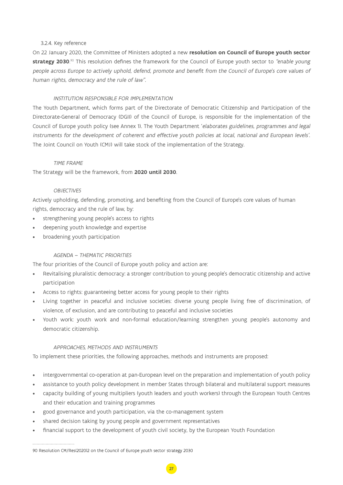## <span id="page-26-0"></span>3.2.4. Key reference

On 22 January 2020, the Committee of Ministers adopted a new **resolution on Council of Europe youth sector strategy 2030**.<sup>90</sup> This resolution defines the framework for the Council of Europe youth sector to *"enable young* people across Europe to actively uphold, defend, promote and benefit from the Council of Europe's core values of human rights, democracy and the rule of law".

## INSTITUTION RESPONSIBLE FOR IMPLEMENTATION

The Youth Department, which forms part of the Directorate of Democratic Citizenship and Participation of the Directorate-General of Democracy (DGII) of the Council of Europe, is responsible for the implementation of the Council of Europe youth policy (see Annex 1). The Youth Department 'elaborates guidelines, programmes and legal instruments for the development of coherent and effective youth policies at local, national and European levels'. The Joint Council on Youth (CMJ) will take stock of the implementation of the Strategy.

## TIME FRAME

The Strategy will be the framework, from **2020 until 2030**.

## **OBJECTIVES**

Actively upholding, defending, promoting, and benefiting from the Council of Europe's core values of human rights, democracy and the rule of law, by:

- strengthening young people's access to rights
- deepening youth knowledge and expertise
- broadening youth participation

## AGENDA – THEMATIC PRIORITIES

The four priorities of the Council of Europe youth policy and action are:

- Revitalising pluralistic democracy: a stronger contribution to young people's democratic citizenship and active participation
- Access to rights: guaranteeing better access for young people to their rights
- Living together in peaceful and inclusive societies: diverse young people living free of discrimination, of violence, of exclusion, and are contributing to peaceful and inclusive societies
- Youth work: youth work and non-formal education/learning strengthen young people's autonomy and democratic citizenship.

## APPROACHES, METHODS AND INSTRUMENTS

To implement these priorities, the following approaches, methods and instruments are proposed:

- intergovernmental co-operation at pan-European level on the preparation and implementation of youth policy
- assistance to youth policy development in member States through bilateral and multilateral support measures
- capacity building of young multipliers (youth leaders and youth workers) through the European Youth Centres and their education and training programmes

27

- good governance and youth participation, via the co-management system
- shared decision taking by young people and government representatives
- financial support to the development of youth civil society, by the European Youth Foundation

#### 90 Resolution CM/Res(2020)2 on the Council of Europe youth sector strategy 2030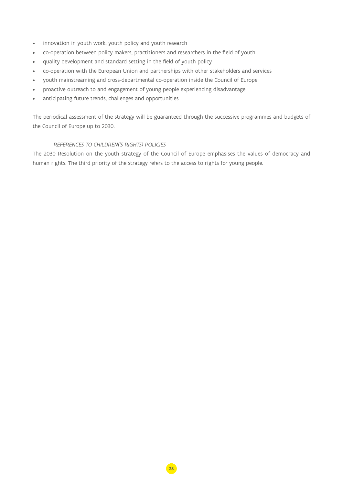- innovation in youth work, youth policy and youth research
- co-operation between policy makers, practitioners and researchers in the field of youth
- quality development and standard setting in the field of youth policy
- co-operation with the European Union and partnerships with other stakeholders and services
- youth mainstreaming and cross-departmental co-operation inside the Council of Europe
- proactive outreach to and engagement of young people experiencing disadvantage
- anticipating future trends, challenges and opportunities

The periodical assessment of the strategy will be guaranteed through the successive programmes and budgets of the Council of Europe up to 2030.

## REFERENCES TO CHILDREN('S RIGHTS) POLICIES

The 2030 Resolution on the youth strategy of the Council of Europe emphasises the values of democracy and human rights. The third priority of the strategy refers to the access to rights for young people.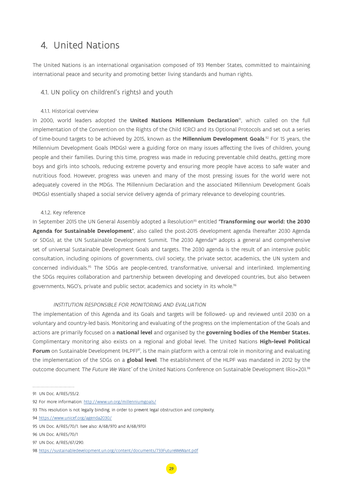## <span id="page-28-0"></span>4. United Nations

The United Nations is an international organisation composed of 193 Member States, committed to maintaining international peace and security and promoting better living standards and human rights.

## 4.1. UN policy on children('s rights) and youth

### 4.1.1. Historical overview

In 2000, world leaders adopted the **United Nations Millennium Declaration**91, which called on the full implementation of the Convention on the Rights of the Child (CRC) and its Optional Protocols and set out a series of time-bound targets to be achieved by 2015, known as the **Millennium Development Goals**. 92 For 15 years, the Millennium Development Goals (MDGs) were a guiding force on many issues affecting the lives of children, young people and their families. During this time, progress was made in reducing preventable child deaths, getting more boys and girls into schools, reducing extreme poverty and ensuring more people have access to safe water and nutritious food. However, progress was uneven and many of the most pressing issues for the world were not adequately covered in the MDGs. The Millennium Declaration and the associated Millennium Development Goals (MDGs) essentially shaped a social service delivery agenda of primary relevance to developing countries.

## 4.1.2. Key reference

In September 2015 the UN General Assembly adopted a Resolution<sup>93</sup> entitled 'Transforming our world: the 2030 **Agenda for Sustainable Development'**, also called the post-2015 development agenda (hereafter 2030 Agenda or SDGs), at the UN Sustainable Development Summit. The 2030 Agenda<sup>94</sup> adopts a general and comprehensive set of universal Sustainable Development Goals and targets. The 2030 agenda is the result of an intensive public consultation, including opinions of governments, civil society, the private sector, academics, the UN system and concerned individuals.95 The SDGs are people-centred, transformative, universal and interlinked. Implementing the SDGs requires collaboration and partnership between developing and developed countries, but also between governments, NGO's, private and public sector, academics and society in its whole.96

### INSTITUTION RESPONSIBLE FOR MONITORING AND EVALUATION

The implementation of this Agenda and its Goals and targets will be followed- up and reviewed until 2030 on a voluntary and country-led basis. Monitoring and evaluating of the progress on the implementation of the Goals and actions are primarily focused on a **national level** and organised by the **governing bodies of the Member States.** Complimentary monitoring also exists on a regional and global level. The United Nations **High-level Political Forum** on Sustainable Development (HLPF)<sup>97</sup>, is the main platform with a central role in monitoring and evaluating the implementation of the SDGs on a **global level**. The establishment of the HLPF was mandated in 2012 by the outcome document 'The Future We Want' of the United Nations Conference on Sustainable Development (Rio+20).98

<sup>91</sup> UN Doc. A/RES/55/2.

<sup>92</sup> For more information:<http://www.un.org/millenniumgoals/>

<sup>93</sup> This resolution is not legally binding, in order to prevent legal obstruction and complexity.

<sup>94</sup> <https://www.unicef.org/agenda2030/>

<sup>95</sup> UN Doc. A/RES/70/1. (see also: A/68/970 and A/68/970)

<sup>96</sup> UN Doc. A/RES/70/1

<sup>97</sup> UN Doc. A/RES/67/290.

<sup>98</sup> <https://sustainabledevelopment.un.org/content/documents/733FutureWeWant.pdf>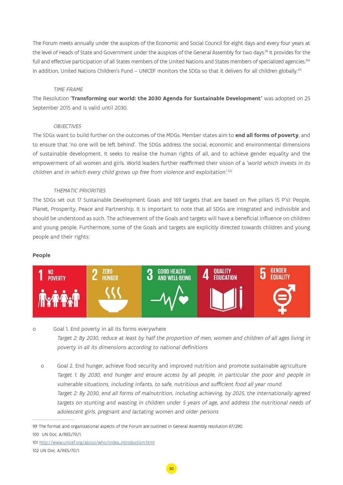The Forum meets annually under the auspices of the Economic and Social Council for eight days and every four years at the level of Heads of State and Government under the auspices of the General Assembly for two days.<sup>99</sup> It provides for the full and effective participation of all States members of the United Nations and States members of specialized agencies.<sup>100</sup> In addition, United Nations Children's Fund – UNICEF monitors the SDGs so that it delivers for all children globally.<sup>101</sup>

## TIME FRAME

The Resolution '**Transforming our world: the 2030 Agenda for Sustainable Development'** was adopted on 25 September 2015 and is valid until 2030.

## **OBJECTIVES**

The SDGs want to build further on the outcomes of the MDGs. Member states aim to **end all forms of poverty**, and to ensure that 'no one will be left behind'. The SDGs address the social, economic and environmental dimensions of sustainable development. It seeks to realise the human rights of all, and to achieve gender equality and the empowerment of all women and girls. World leaders further reaffirmed their vision of a 'world which invests in its children and in which every child grows up free from violence and exploitation'.<sup>102</sup>

## THEMATIC PRIORITIES

The SDGs set out 17 Sustainable Development Goals and 169 targets that are based on five pillars (5 P's): People, Planet, Prosperity, Peace and Partnership. It is important to note that all SDGs are integrated and indivisible and should be understood as such. The achievement of the Goals and targets will have a beneficial influence on children and young people. Furthermore, some of the Goals and targets are explicitly directed towards children and young people and their rights:

## **People**

![](_page_29_Figure_8.jpeg)

## o Goal 1. End poverty in all its forms everywhere Target 2: By 2030, reduce at least by half the proportion of men, women and children of all ages living in poverty in all its dimensions according to national definitions

o Goal 2. End hunger, achieve food security and improved nutrition and promote sustainable agriculture Target 1: By 2030, end hunger and ensure access by all people, in particular the poor and people in vulnerable situations, including infants, to safe, nutritious and sufficient food all year round Target 2: By 2030, end all forms of malnutrition, including achieving, by 2025, the internationally agreed targets on stunting and wasting in children under 5 years of age, and address the nutritional needs of adolescent girls, pregnant and lactating women and older persons

<sup>99</sup> The format and organizational aspects of the Forum are outlined in General Assembly resolution 67/290.

<sup>100</sup> UN Doc. A/RES/70/1.

<sup>101</sup> [http://www.unicef.org/about/who/index\\_introduction.html](http://www.unicef.org/about/who/index_introduction.html) 102 UN Doc. A/RES/70/1.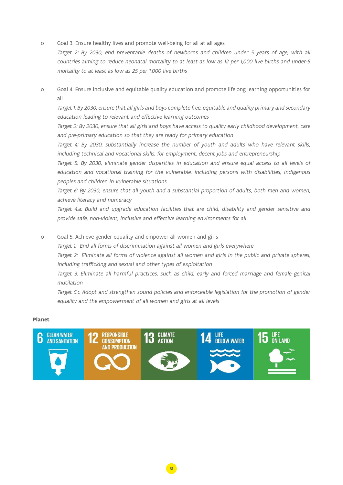o Goal 3. Ensure healthy lives and promote well-being for all at all ages

Target 2: By 2030, end preventable deaths of newborns and children under 5 years of age, with all countries aiming to reduce neonatal mortality to at least as low as 12 per 1,000 live births and under-5 mortality to at least as low as 25 per 1,000 live births

o Goal 4. Ensure inclusive and equitable quality education and promote lifelong learning opportunities for all

Target 1: By 2030, ensure that all girls and boys complete free, equitable and quality primary and secondary education leading to relevant and effective learning outcomes

Target 2: By 2030, ensure that all girls and boys have access to quality early childhood development, care and pre-primary education so that they are ready for primary education

Target 4: By 2030, substantially increase the number of youth and adults who have relevant skills, including technical and vocational skills, for employment, decent jobs and entrepreneurship

Target 5: By 2030, eliminate gender disparities in education and ensure equal access to all levels of education and vocational training for the vulnerable, including persons with disabilities, indigenous peoples and children in vulnerable situations

Target 6: By 2030, ensure that all youth and a substantial proportion of adults, both men and women, achieve literacy and numeracy

Target 4.a: Build and upgrade education facilities that are child, disability and gender sensitive and provide safe, non-violent, inclusive and effective learning environments for all

o Goal 5. Achieve gender equality and empower all women and girls

Target 1: End all forms of discrimination against all women and girls everywhere

Target 2: Eliminate all forms of violence against all women and girls in the public and private spheres, including trafficking and sexual and other types of exploitation

Target 3: Eliminate all harmful practices, such as child, early and forced marriage and female genital mutilation

Target 5.c Adopt and strengthen sound policies and enforceable legislation for the promotion of gender equality and the empowerment of all women and girls at all levels

## **Planet**

![](_page_30_Picture_15.jpeg)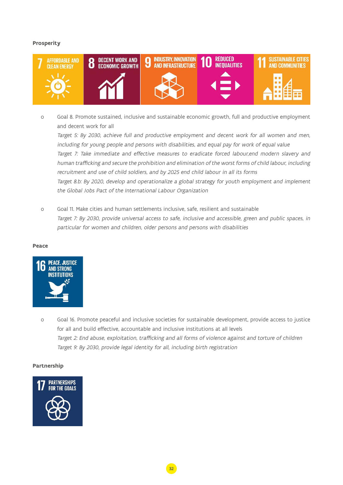## **Prosperity**

![](_page_31_Picture_1.jpeg)

o Goal 8. Promote sustained, inclusive and sustainable economic growth, full and productive employment and decent work for all

Target 5: By 2030, achieve full and productive employment and decent work for all women and men, including for young people and persons with disabilities, and equal pay for work of equal value Target 7: Take immediate and effective measures to eradicate forced labour,end modern slavery and human trafficking and secure the prohibition and elimination of the worst forms of child labour, including recruitment and use of child soldiers, and by 2025 end child labour in all its forms Target 8.b: By 2020, develop and operationalize a global strategy for youth employment and implement the Global Jobs Pact of the International Labour Organization

o Goal 11. Make cities and human settlements inclusive, safe, resilient and sustainable Target 7: By 2030, provide universal access to safe, inclusive and accessible, green and public spaces, in particular for women and children, older persons and persons with disabilities

#### **Peace**

![](_page_31_Picture_6.jpeg)

o Goal 16. Promote peaceful and inclusive societies for sustainable development, provide access to justice for all and build effective, accountable and inclusive institutions at all levels Target 2: End abuse, exploitation, trafficking and all forms of violence against and torture of children Target 9: By 2030, provide legal identity for all, including birth registration

### **Partnership**

![](_page_31_Picture_9.jpeg)

32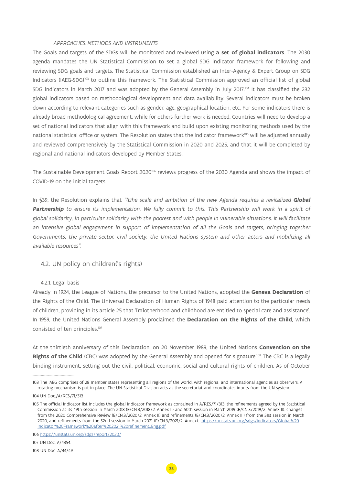#### APPROACHES, METHODS AND INSTRUMENTS

<span id="page-32-0"></span>The Goals and targets of the SDGs will be monitored and reviewed using **a set of global indicators**. The 2030 agenda mandates the UN Statistical Commission to set a global SDG indicator framework for following and reviewing SDG goals and targets. The Statistical Commission established an Inter-Agency & Expert Group on SDG Indicators (IAEG-SDG)103 to outline this framework. The Statistical Commission approved an official list of global SDG indicators in March 2017 and was adopted by the General Assembly in July 2017.<sup>104</sup> It has classified the 232 global indicators based on methodological development and data availability. Several indicators must be broken down according to relevant categories such as gender, age, geographical location, etc. For some indicators there is already broad methodological agreement, while for others further work is needed. Countries will need to develop a set of national indicators that align with this framework and build upon existing monitoring methods used by the national statistical office or system. The Resolution states that the indicator framework<sup>105</sup> will be adjusted annually and reviewed comprehensively by the Statistical Commission in 2020 and 2025, and that it will be completed by regional and national indicators developed by Member States.

The Sustainable Development Goals Report 2020106 reviews progress of the 2030 Agenda and shows the impact of COVID-19 on the initial targets.

In §39, the Resolution explains that "(t)he scale and ambition of the new Agenda requires a revitalized **Global**  Partnership to ensure its implementation. We fully commit to this. This Partnership will work in a spirit of global solidarity, in particular solidarity with the poorest and with people in vulnerable situations. It will facilitate an intensive global engagement in support of implementation of all the Goals and targets, bringing together Governments, the private sector, civil society, the United Nations system and other actors and mobilizing all available resources".

## 4.2. UN policy on children('s rights)

#### 4.2.1. Legal basis

Already in 1924, the League of Nations, the precursor to the United Nations, adopted the **Geneva Declaration** of the Rights of the Child. The Universal Declaration of Human Rights of 1948 paid attention to the particular needs of children, providing in its article 25 that '[m]otherhood and childhood are entitled to special care and assistance'. In 1959, the United Nations General Assembly proclaimed the **Declaration on the Rights of the Child**, which consisted of ten principles.<sup>107</sup>

At the thirtieth anniversary of this Declaration, on 20 November 1989, the United Nations **Convention on the Rights of the Child** (CRC) was adopted by the General Assembly and opened for signature.<sup>108</sup> The CRC is a legally binding instrument, setting out the civil, political, economic, social and cultural rights of children. As of October

107 UN Doc. A/4354.

<sup>103</sup> The IAEG comprises of 28 member states representing all regions of the world, with regional and international agencies as observers. A rotating mechanism is put in place. The UN Statistical Division acts as the secretariat and coordinates inputs from the UN system.

<sup>104</sup> UN Doc./A/RES/71/313

<sup>105</sup> The official indicator list includes the global indicator framework as contained in A/RES/71/313, the refinements agreed by the Statistical Commission at its 49th session in March 2018 (E/CN.3/2018/2, Annex II) and 50th session in March 2019 (E/CN.3/2019/2, Annex II), changes from the 2020 Comprehensive Review (E/CN.3/2020/2, Annex II) and refinements (E/CN.3/2020/2, Annex III) from the 51st session in March 2020, and refinements from the 52nd session in March 2021 (E/CN.3/2021/2, Annex). [https://unstats.un.org/sdgs/indicators/Global%20](https://unstats.un.org/sdgs/indicators/Global%20Indicator%20Framework%20after%202021%20refinement_Eng.pdf) [Indicator%20Framework%20after%202021%20refinement\\_Eng.pdf](https://unstats.un.org/sdgs/indicators/Global%20Indicator%20Framework%20after%202021%20refinement_Eng.pdf)

<sup>106</sup> <https://unstats.un.org/sdgs/report/2020/>

<sup>108</sup> UN Doc. A/44/49.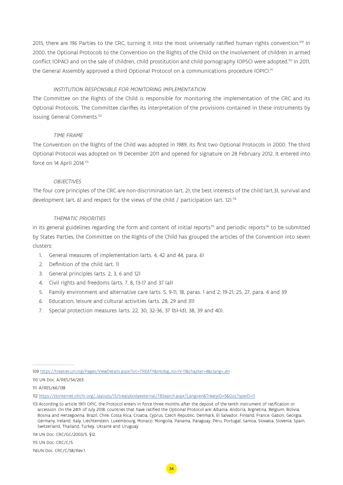2015, there are 196 Parties to the CRC, turning it into the most universally ratified human rights convention.109 In 2000, the Optional Protocols to the Convention on the Rights of the Child on the involvement of children in armed conflict (OPAC) and on the sale of children, child prostitution and child pornography (OPSC) were adopted.<sup>110</sup> In 2011, the General Assembly approved a third Optional Protocol on a communications procedure (OPIC).<sup>111</sup>

## INSTITUTION RESPONSIBLE FOR MONITORING IMPLEMENTATION

The Committee on the Rights of the Child is responsible for monitoring the implementation of the CRC and its Optional Protocols. The Committee clarifies its interpretation of the provisions contained in these instruments by issuing General Comments.<sup>112</sup>

### TIME FRAME

The Convention on the Rights of the Child was adopted in 1989, its first two Optional Protocols in 2000. The third Optional Protocol was adopted on 19 December 2011 and opened for signature on 28 February 2012. It entered into force on 14 April 2014.<sup>113</sup>

#### **OBJECTIVES**

The four core principles of the CRC are non-discrimination (art. 2); the best interests of the child (art.3), survival and development (art. 6) and respect for the views of the child / participation (art. 12).<sup>114</sup>

#### THEMATIC PRIORITIES

In its general guidelines regarding the form and content of initial reports<sup>115</sup> and periodic reports<sup>116</sup> to be submitted by States Parties, the Committee on the Rights of the Child has grouped the articles of the Convention into seven clusters:

- 1. General measures of implementation (arts. 4, 42 and 44, para. 6)
- 2. Definition of the child (art. 1)
- 3. General principles (arts. 2, 3, 6 and 12)
- 4. Civil rights and freedoms (arts. 7, 8, 13-17 and 37 (a))
- 5. Family environment and alternative care (arts. 5, 9-11, 18, paras. 1 and 2; 19-21, 25, 27, para. 4 and 39
- 6. Education, leisure and cultural activities (arts. 28, 29 and 31)
- 7. Special protection measures (arts. 22, 30, 32-36, 37 (b)-(d), 38, 39 and 40).

110 UN Doc. A/RES/54/263.

111 A/RES/66/138

114 UN Doc. CRC/GC/2003/5, §12.

116UN Doc. CRC/C/58/Rev.1.

<sup>109</sup> [https://treaties.un.org/Pages/ViewDetails.aspx?src=TREATY&mtdsg\\_no=IV-11&chapter=4&clang=\\_en](https://treaties.un.org/Pages/ViewDetails.aspx?src=TREATY&mtdsg_no=IV-11&chapter=4&clang=_en)

<sup>112</sup> [https://tbinternet.ohchr.org/\\_layouts/15/treatybodyexternal/TBSearch.aspx?Lang=en&TreatyID=5&DocTypeID=11](https://tbinternet.ohchr.org/_layouts/15/treatybodyexternal/TBSearch.aspx?Lang=en&TreatyID=5&DocTypeID=11)

<sup>113</sup> According to article 19(1) OPIC, the Protocol enters in force three months after the deposit of the tenth instrument of ratification or accession. On the 24th of July 2018, countries that have ratified the Optional Protocol are: Albania, Andorra, Argnetina, Belgium, Bolivia, Bosnia and Herzegovina, Brazil, Chile, Costa Rica, Croatia, Cyprus, Czech Republic, Denmark, El Salvador, Finland, France, Gabon, Georgia, Germany, Ireland, Italy, Liechtenstein, Luxembourg, Monaco, Mongolia, Panama, Paraguay, Peru, Portugal, Samoa, Slovakia, Slovenia, Spain, Switzerland, Thailand, Turkey, Ukraine and Uruguay

<sup>115</sup> UN Doc. CRC/C/5.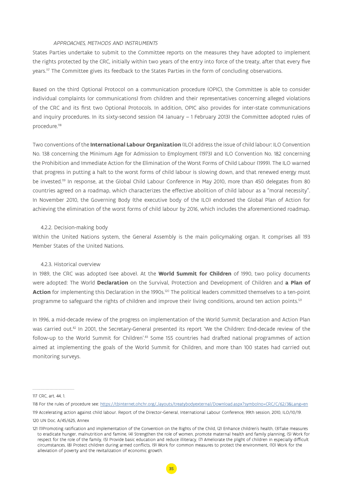#### APPROACHES, METHODS AND INSTRUMENTS

<span id="page-34-0"></span>States Parties undertake to submit to the Committee reports on the measures they have adopted to implement the rights protected by the CRC, initially within two years of the entry into force of the treaty, after that every five years.<sup>117</sup> The Committee gives its feedback to the States Parties in the form of concluding observations.

Based on the third Optional Protocol on a communication procedure (OPIC), the Committee is able to consider individual complaints (or communications) from children and their representatives concerning alleged violations of the CRC and its first two Optional Protocols. In addition, OPIC also provides for inter-state communications and inquiry procedures. In its sixty-second session (14 January – 1 February 2013) the Committee adopted rules of procedure.118

Two conventions of the **International Labour Organization** (ILO) address the issue of child labour: ILO Convention No. 138 concerning the Minimum Age for Admission to Employment (1973) and ILO Convention No. 182 concerning the Prohibition and Immediate Action for the Elimination of the Worst Forms of Child Labour (1999). The ILO warned that progress in putting a halt to the worst forms of child labour is slowing down, and that renewed energy must be invested.119 In response, at the Global Child Labour Conference in May 2010, more than 450 delegates from 80 countries agreed on a roadmap, which characterizes the effective abolition of child labour as a "moral necessity". In November 2010, the Governing Body (the executive body of the ILO) endorsed the Global Plan of Action for achieving the elimination of the worst forms of child labour by 2016, which includes the aforementioned roadmap.

#### 4.2.2. Decision-making body

Within the United Nations system, the General Assembly is the main policymaking organ. It comprises all 193 Member States of the United Nations.

#### 4.2.3. Historical overview

In 1989, the CRC was adopted (see above). At the **World Summit for Children** of 1990, two policy documents were adopted: The World **Declaration** on the Survival, Protection and Development of Children and **a Plan of**  Action for implementing this Declaration in the 1990s.<sup>120</sup> The political leaders committed themselves to a ten-point programme to safeguard the rights of children and improve their living conditions, around ten action points.<sup>121</sup>

In 1996, a mid-decade review of the progress on implementation of the World Summit Declaration and Action Plan was carried out.82 In 2001, the Secretary-General presented its report 'We the Children: End-decade review of the follow-up to the World Summit for Children'.<sup>83</sup> Some 155 countries had drafted national programmes of action aimed at implementing the goals of the World Summit for Children, and more than 100 states had carried out monitoring surveys.

<sup>117</sup> CRC, art. 44, 1.

<sup>118</sup> For the rules of procedure see: [https://tbinternet.ohchr.org/\\_layouts/treatybodyexternal/Download.aspx?symbolno=CRC/C/62/3&Lang=en](https://tbinternet.ohchr.org/_layouts/treatybodyexternal/Download.aspx?symbolno=CRC/C/62/3&Lang=en)

<sup>119</sup> Accelerating action against child labour. Report of the Director-General, International Labour Conference, 99th session, 2010, ILO/10/19.

<sup>120</sup> UN Doc. A/45/625, Annex

<sup>121 (1)</sup>Promoting ratification and implementation of the Convention on the Rights of the Child, (2) Enhance children's health, (3)Take measures to eradicate hunger, malnutrition and famine, (4) Strengthen the role of women, promote maternal health and family planning, (5) Work for respect for the role of the family, (5) Provide basic education and reduce illiteracy, (7) Ameliorate the plight of children in especially difficult circumstances, (8) Protect children during armed conflicts, (9) Work for common measures to protect the environment, (10) Work for the alleviation of poverty and the revitalization of economic growth.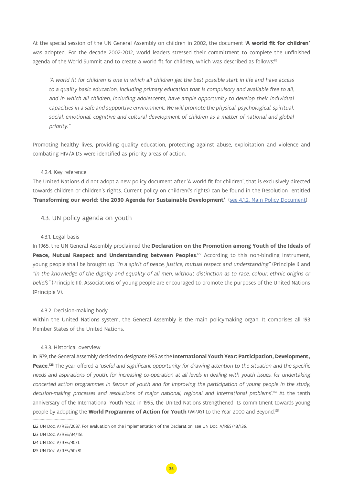<span id="page-35-0"></span>At the special session of the UN General Assembly on children in 2002, the document **'A world fit for children'** was adopted. For the decade 2002-2012, world leaders stressed their commitment to complete the unfinished agenda of the World Summit and to create a world fit for children, which was described as follows:<sup>85</sup>

"A world fit for children is one in which all children get the best possible start in life and have access to a quality basic education, including primary education that is compulsory and available free to all, and in which all children, including adolescents, have ample opportunity to develop their individual capacities in a safe and supportive environment. We will promote the physical, psychological, spiritual, social, emotional, cognitive and cultural development of children as a matter of national and global priority."

Promoting healthy lives, providing quality education, protecting against abuse, exploitation and violence and combating HIV/AIDS were identified as priority areas of action.

## 4.2.4. Key reference

The United Nations did not adopt a new policy document after 'A world fit for children', that is exclusively directed towards children or children's rights. Current policy on children('s rights) can be found in the Resolution entitled '**Transforming our world: the 2030 Agenda for Sustainable Development'**. [\(see 4.1.2. Main Policy Document\)](#page-28-0)

## 4.3. UN policy agenda on youth

#### 4.3.1. Legal basis

In 1965, the UN General Assembly proclaimed the **Declaration on the Promotion among Youth of the Ideals of** Peace, Mutual Respect and Understanding between Peoples.<sup>122</sup> According to this non-binding instrument, young people shall be brought up "in a spirit of peace, justice, mutual respect and understanding" (Principle I) and "in the knowledge of the dignity and equality of all men, without distinction as to race, colour, ethnic origins or beliefs" (Principle III). Associations of young people are encouraged to promote the purposes of the United Nations (Principle V).

### 4.3.2. Decision-making body

Within the United Nations system, the General Assembly is the main policymaking organ. It comprises all 193 Member States of the United Nations.

### 4.3.3. Historical overview

In 1979, the General Assembly decided to designate 1985 as the **International Youth Year: Participation, Development, Peace.<sup>123</sup>** The year offered a 'useful and significant opportunity for drawing attention to the situation and the specific needs and aspirations of youth, for increasing co-operation at all levels in dealing with youth issues, for undertaking concerted action programmes in favour of youth and for improving the participation of young people in the study, decision-making processes and resolutions of major national, regional and international problems'.<sup>124</sup> At the tenth anniversary of the International Youth Year, in 1995, the United Nations strengthened its commitment towards young people by adopting the **World Programme of Action for Youth** (WPAY) to the Year 2000 and Beyond.125

123 UN Doc. A/RES/34/151.

124 UN Doc. A/RES/40/1.

<sup>122</sup> UN Doc. A/RES/2037. For evaluation on the implementation of the Declaration, see UN Doc. A/RES/43/136.

<sup>125</sup> UN Doc. A/RES/50/81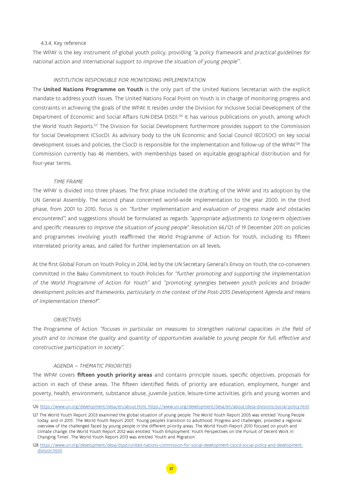#### <span id="page-36-0"></span>4.3.4. Key reference

The WPAY is the key instrument of global youth policy, providing "a policy framework and practical guidelines for national action and international support to improve the situation of young people'".

## INSTITUTION RESPONSIBLE FOR MONITORING IMPLEMENTATION

The **United Nations Programme on Youth** is the only part of the United Nations Secretariat with the explicit mandate to address youth issues. The United Nations Focal Point on Youth is in charge of monitoring progress and constraints in achieving the goals of the WPAY. It resides under the Division for Inclusive Social Development of the Department of Economic and Social Affairs (UN-DESA DISD).<sup>126</sup> It has various publications on youth, among which the World Youth Reports.127 The Division for Social Development furthermore provides support to the Commission for Social Development (CSocD). As advisory body to the UN Economic and Social Council (ECOSOC) on key social development issues and policies, the CSocD is responsible for the implementation and follow-up of the WPAY.<sup>128</sup> The Commission currently has 46 members, with memberships based on equitable geographical distribution and for four-year terms.

#### TIME FRAME

The WPAY is divided into three phases. The first phase included the drafting of the WPAY and its adoption by the UN General Assembly. The second phase concerned world-wide implementation to the year 2000. In the third phase, from 2001 to 2010, focus is on "further implementation and evaluation of progress made and obstacles encountered"; and suggestions should be formulated as regards "appropriate adjustments to long-term objectives and specific measures to improve the situation of young people". Resolution 66/121 of 19 December 2011 on policies and programmes involving youth reaffirmed the World Programme of Action for Youth, including its fifteen interrelated priority areas, and called for further implementation on all levels.

At the first Global Forum on Youth Policy in 2014, led by the UN Secretary General's Envoy on Youth, the co-conveners committed in the Baku Commitment to Youth Policies for "further promoting and supporting the implementation of the World Programme of Action for Youth" and "promoting synergies between youth policies and broader development policies and frameworks, particularly in the context of the Post-2015 Development Agenda and means of implementation thereof".

#### **OBJECTIVES**

The Programme of Action "focuses in particular on measures to strengthen national capacities in the field of youth and to increase the quality and quantity of opportunities available to young people for full, effective and constructive participation in society".

#### AGENDA – THEMATIC PRIORITIES

The WPAY covers **fifteen youth priority areas** and contains principle issues, specific objectives, proposals for action in each of these areas. The fifteen identified fields of priority are education, employment, hunger and poverty, health, environment, substance abuse, juvenile justice, leisure-time activities, girls and young women and

<sup>126</sup> [https://www.un.org/development/desa/en/about.html; https://www.un.org/development/desa/en/about/desa-divisions/social-policy.html](https://www.un.org/development/desa/en/about/desa-divisions/social-policy.html)

<sup>127</sup> The World Youth Report 2003 examined the global situation of young people. The World Youth Report 2005 was entitled 'Young People today, and in 2015'. The World Youth Report 2007, 'Young people's transition to adulthood: Progress and challenges', provided a regional overview of the challenged faced by young people in the different priority areas. The World Youth Report 2010 focused on youth and climate change; the World Youth Report 2012 was entitled 'Youth Employment: Youth Perspectives on the Pursuit of Decent Work in Changing Times'. The World Youth Report 2013 was entitled 'Youth and Migration'.

<sup>128</sup> [https://www.un.org/development/desa/dspd/united-nations-commission-for-social-development-csocd-social-policy-and-development](https://www.un.org/development/desa/dspd/united-nations-commission-for-social-development-csocd-social-policy-and-development-division.html)[division.html](https://www.un.org/development/desa/dspd/united-nations-commission-for-social-development-csocd-social-policy-and-development-division.html)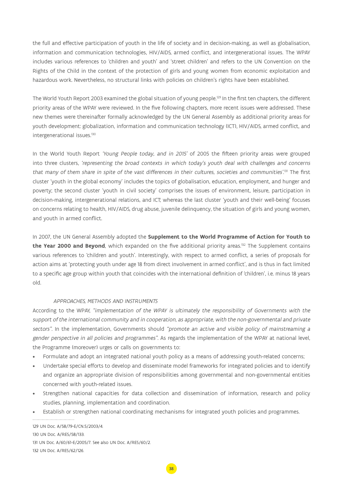the full and effective participation of youth in the life of society and in decision-making, as well as globalisation, information and communication technologies, HIV/AIDS, armed conflict, and intergenerational issues. The WPAY includes various references to 'children and youth' and 'street children' and refers to the UN Convention on the Rights of the Child in the context of the protection of girls and young women from economic exploitation and hazardous work. Nevertheless, no structural links with policies on children's rights have been established.

The World Youth Report 2003 examined the global situation of young people.<sup>129</sup> In the first ten chapters, the different priority areas of the WPAY were reviewed. In the five following chapters, more recent issues were addressed. These new themes were thereinafter formally acknowledged by the UN General Assembly as additional priority areas for youth development: globalization, information and communication technology (ICT), HIV/AIDS, armed conflict, and intergenerational issues.130

In the World Youth Report 'Young People today, and in 2015' of 2005 the fifteen priority areas were grouped into three clusters, 'representing the broad contexts in which today's youth deal with challenges and concerns that many of them share in spite of the vast differences in their cultures, societies and communities'. 131 The first cluster 'youth in the global economy' includes the topics of globalisation, education, employment, and hunger and poverty; the second cluster 'youth in civil society' comprises the issues of environment, leisure, participation in decision-making, intergenerational relations, and ICT; whereas the last cluster 'youth and their well-being' focuses on concerns relating to health, HIV/AIDS, drug abuse, juvenile delinquency, the situation of girls and young women, and youth in armed conflict.

In 2007, the UN General Assembly adopted the **Supplement to the World Programme of Action for Youth to**  the Year 2000 and Beyond, which expanded on the five additional priority areas.<sup>132</sup> The Supplement contains various references to 'children and youth'. Interestingly, with respect to armed conflict, a series of proposals for action aims at 'protecting youth under age 18 from direct involvement in armed conflict', and is thus in fact limited to a specific age group within youth that coincides with the international definition of 'children', i.e. minus 18 years old.

## APPROACHES, METHODS AND INSTRUMENTS

According to the WPAY, "implementation of the WPAY is ultimately the responsibility of Governments with the support of the international community and in cooperation, as appropriate, with the non-governmental and private sectors". In the implementation, Governments should "promote an active and visible policy of mainstreaming a gender perspective in all policies and programmes". As regards the implementation of the WPAY at national level, the Programme (moreover) urges or calls on governments to:

- Formulate and adopt an integrated national youth policy as a means of addressing youth-related concerns;
- Undertake special efforts to develop and disseminate model frameworks for integrated policies and to identify and organize an appropriate division of responsibilities among governmental and non-governmental entities concerned with youth-related issues.
- Strengthen national capacities for data collection and dissemination of information, research and policy studies, planning, implementation and coordination.
- Establish or strengthen national coordinating mechanisms for integrated youth policies and programmes.

129 UN Doc. A/58/79-E/CN.5/2003/4. 130 UN Doc. A/RES/58/133. 131 UN Doc. A/60/61-E/2005/7. See also UN Doc. A/RES/60/2. 132 UN Doc. A/RES/62/126.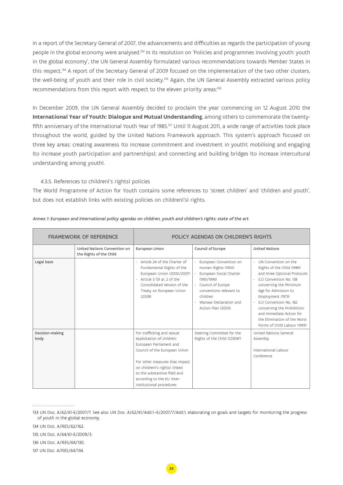<span id="page-38-0"></span>In a report of the Secretary General of 2007, the advancements and difficulties as regards the participation of young people in the global economy were analysed.<sup>133</sup> In its resolution on 'Policies and programmes involving youth: youth in the global economy', the UN General Assembly formulated various recommendations towards Member States in this respect.134 A report of the Secretary General of 2009 focused on the implementation of the two other clusters, the well-being of youth and their role in civil society.<sup>135</sup> Again, the UN General Assembly extracted various policy recommendations from this report with respect to the eleven priority areas:<sup>136</sup>

In December 2009, the UN General Assembly decided to proclaim the year commencing on 12 August 2010 the **International Year of Youth: Dialogue and Mutual Understanding**, among others to commemorate the twentyfifth anniversary of the International Youth Year of 1985.<sup>137</sup> Until 11 August 2011, a wide range of activities took place throughout the world, guided by the United Nations Framework approach. This system's approach focused on three key areas: creating awareness (to increase commitment and investment in youth); mobilising and engaging (to increase youth participation and partnerships); and connecting and building bridges (to increase intercultural understanding among youth).

## 4.3.5. References to children('s rights) policies

The World Programme of Action for Youth contains some references to 'street children' and 'children and youth', but does not establish links with existing policies on children('s) rights.

| <b>FRAMEWORK OF REFERENCE</b> |                                                         | POLICY AGENDAS ON CHILDREN'S RIGHTS                                                                                                                                                                                                                                               |                                                                                                                                                                                                           |                                                                                                                                                                                                                                                                                                                                               |
|-------------------------------|---------------------------------------------------------|-----------------------------------------------------------------------------------------------------------------------------------------------------------------------------------------------------------------------------------------------------------------------------------|-----------------------------------------------------------------------------------------------------------------------------------------------------------------------------------------------------------|-----------------------------------------------------------------------------------------------------------------------------------------------------------------------------------------------------------------------------------------------------------------------------------------------------------------------------------------------|
|                               | United Nations Convention on<br>the Rights of the Child | European Union                                                                                                                                                                                                                                                                    | Council of Europe                                                                                                                                                                                         | <b>United Nations</b>                                                                                                                                                                                                                                                                                                                         |
| Legal basis                   |                                                         | Article 24 of the Charter of<br>Fundamental Rights of the<br>European Union (2000/2007)<br>Article 3 (3) al. 2 of the<br>Consolidated Version of the<br>Treaty on European Union<br>(2008)                                                                                        | European Convention on<br>Human Rights (1950)<br>- European Social Charter<br>(1961/1996)<br>- Council of Europe<br>conventions relevant to<br>children<br>- Warsaw Declaration and<br>Action Plan (2005) | UN Convention on the<br>Rights of the Child (1989)<br>and three Optional Protocols<br>ILO Convention No. 138<br>÷.<br>concerning the Minimum<br>Age for Admission to<br>Employment (1973)<br>ILO Convention No. 182<br>concerning the Prohibition<br>and Immediate Action for<br>the Elimination of the Worst<br>Forms of Child Labour (1999) |
| Decision-making<br>body       |                                                         | For trafficking and sexual<br>exploitation of children:<br>European Parliament and<br>Council of the European Union<br>For other measures that impact<br>on children('s rights): linked<br>to the substantive field and<br>according to the EU inter-<br>institutional procedures | Steering Committee for the<br>Rights of the Child (CDENF)                                                                                                                                                 | United Nations General<br>Assembly<br>International Labour<br>Conference                                                                                                                                                                                                                                                                      |

#### Annex 1: European and international policy agendas on children, youth and children's rights: state of the art

137 UN Doc. A/RES/64/134.

<sup>133</sup> UN Doc. A/62/61-E/2007/7. See also UN Doc. A/62/61/Add.1–E/2007/7/Add.1, elaborating on goals and targets for monitoring the progress of youth in the global economy.

<sup>134</sup> UN Doc. A/RES/62/162.

<sup>135</sup> UN Doc. A/64/61-E/2009/3.

<sup>136</sup> UN Doc. A/RES/64/130.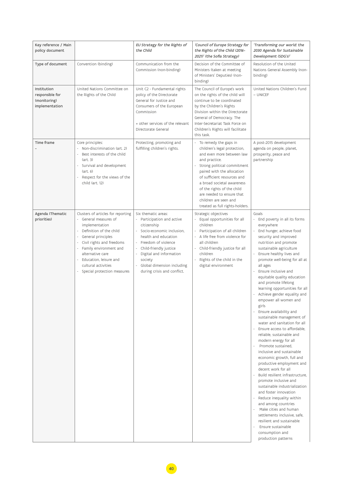| Key reference / Main<br>policy document                          |                                                                                                                                                                                                                                                                                                                   | EU Strategy for the Rights of<br>the Child                                                                                                                                                                                                                                    | 'Council of Europe Strategy for<br>the Rights of the Child (2016-<br>2021)' (the Sofia Strategy)                                                                                                                                                                                                                                                       | 'Transforming our world: the<br>2030 Agenda for Sustainable<br>Development (SDG's)'                                                                                                                                                                                                                                                                                                                                                                                                                                                                                                                                                                                                                                                                                                                                                                                                                                                                                                                                                                                                |
|------------------------------------------------------------------|-------------------------------------------------------------------------------------------------------------------------------------------------------------------------------------------------------------------------------------------------------------------------------------------------------------------|-------------------------------------------------------------------------------------------------------------------------------------------------------------------------------------------------------------------------------------------------------------------------------|--------------------------------------------------------------------------------------------------------------------------------------------------------------------------------------------------------------------------------------------------------------------------------------------------------------------------------------------------------|------------------------------------------------------------------------------------------------------------------------------------------------------------------------------------------------------------------------------------------------------------------------------------------------------------------------------------------------------------------------------------------------------------------------------------------------------------------------------------------------------------------------------------------------------------------------------------------------------------------------------------------------------------------------------------------------------------------------------------------------------------------------------------------------------------------------------------------------------------------------------------------------------------------------------------------------------------------------------------------------------------------------------------------------------------------------------------|
| Type of document                                                 | Convention (binding)                                                                                                                                                                                                                                                                                              | Communication from the<br>Commission (non-binding)                                                                                                                                                                                                                            | Decision of the Committee of<br>Ministers (taken at meeting<br>of Ministers' Deputies) (non-<br>binding)                                                                                                                                                                                                                                               | Resolution of the United<br>Nations General Assembly (non-<br>binding)                                                                                                                                                                                                                                                                                                                                                                                                                                                                                                                                                                                                                                                                                                                                                                                                                                                                                                                                                                                                             |
| Institution<br>responsible for<br>(monitoring)<br>implementation | United Nations Committee on<br>the Rights of the Child                                                                                                                                                                                                                                                            | Unit C2 - Fundamental rights<br>policy of the Directorate<br>General for Justice and<br>Consumers of the European<br>Commission<br>+ other services of the relevant<br>Directorate General                                                                                    | The Council of Europe's work<br>on the rights of the child will<br>continue to be coordinated<br>by the Children's Rights<br>Division within the Directorate<br>General of Democracy. The<br>Inter-Secretariat Task Force on<br>Children's Rights will facilitate<br>this task.                                                                        | United Nations Children's Fund<br>$-$ UNICEF                                                                                                                                                                                                                                                                                                                                                                                                                                                                                                                                                                                                                                                                                                                                                                                                                                                                                                                                                                                                                                       |
| Time frame                                                       | Core principles:<br>- Non-discrimination (art. 2)<br>Best interests of the child<br>(art. 3)<br>- Survival and development<br>(art. 6)<br>Respect for the views of the<br>$\overline{\phantom{a}}$<br>child (art. 12)                                                                                             | Protecting, promoting and<br>fulfilling children's rights.                                                                                                                                                                                                                    | - To remedy the gaps in<br>children's legal protection,<br>and even more between law<br>and practice.<br>Strong political commitment<br>paired with the allocation<br>of sufficient resources and<br>a broad societal awareness<br>of the rights of the child<br>are needed to ensure that<br>children are seen and<br>treated as full rights-holders. | A post-2015 development<br>agenda on people, planet,<br>prosperity, peace and<br>partnership                                                                                                                                                                                                                                                                                                                                                                                                                                                                                                                                                                                                                                                                                                                                                                                                                                                                                                                                                                                       |
| Agenda (Thematic<br>priorities)                                  | Clusters of articles for reporting<br>$\sim$<br>General measures of<br>implementation<br>- Definition of the child<br>General principles<br>Civil rights and freedoms<br>$\sim$<br>- Family environment and<br>alternative care<br>- Education, leisure and<br>cultural activities<br>Special protection measures | Six thematic areas:<br>÷,<br>Participation and active<br>citizenship<br>Socio-economic inclusion,<br>health and education<br>Freedom of violence<br>Child-friendly justice<br>Digital and information<br>society<br>Global dimension including<br>during crisis and conflict. | Strategic objectives<br>Equal opportunities for all<br>children<br>- Participation of all children<br>- A life free from violence for<br>all children<br>- Child-friendly justice for all<br>children<br>- Rights of the child in the<br>digital environment                                                                                           | Goals<br>End poverty in all its forms<br>everywhere<br>End hunger, achieve food<br>security and improved<br>nutrition and promote<br>sustainable agriculture<br>Ensure healthy lives and<br>promote well-being for all at<br>all ages<br>Ensure inclusive and<br>equitable quality education<br>and promote lifelong<br>learning opportunities for all<br>- Achieve gender equality and<br>empower all women and<br>girls<br>- Ensure availability and<br>sustainable management of<br>water and sanitation for all<br>- Ensure access to affordable.<br>reliable, sustainable and<br>modern energy for all<br>- Promote sustained,<br>inclusive and sustainable<br>economic growth, full and<br>productive employment and<br>decent work for all<br>Build resilient infrastructure.<br>promote inclusive and<br>sustainable industrialization<br>and foster innovation<br>- Reduce inequality within<br>and among countries<br>Make cities and human<br>settlements inclusive, safe,<br>resilient and sustainable<br>Ensure sustainable<br>consumption and<br>production patterns |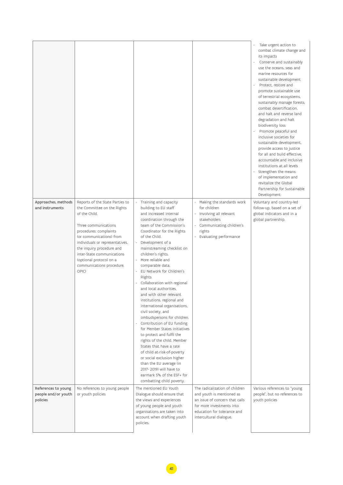|                                                        |                                                                                                                                                                                                                                                                                                                              |                                                                                                                                                                                                                                                                                                                                                                                                                                                                                                                                                                                                                                                                                                                                                                                                                                                                                                 |                                                                                                                                                                                      | Take urgent action to<br>combat climate change and<br>its impacts<br>- Conserve and sustainably<br>use the oceans, seas and<br>marine resources for<br>sustainable development<br>Protect, restore and<br>promote sustainable use<br>of terrestrial ecosystems,<br>sustainably manage forests,<br>combat desertification.<br>and halt and reverse land<br>degradation and halt<br>biodiversity loss<br>- Promote peaceful and<br>inclusive societies for<br>sustainable development,<br>provide access to justice<br>for all and build effective,<br>accountable and inclusive<br>institutions at all levels<br>Strengthen the means<br>of implementation and<br>revitalize the Global<br>Partnership for Sustainable<br>Development |
|--------------------------------------------------------|------------------------------------------------------------------------------------------------------------------------------------------------------------------------------------------------------------------------------------------------------------------------------------------------------------------------------|-------------------------------------------------------------------------------------------------------------------------------------------------------------------------------------------------------------------------------------------------------------------------------------------------------------------------------------------------------------------------------------------------------------------------------------------------------------------------------------------------------------------------------------------------------------------------------------------------------------------------------------------------------------------------------------------------------------------------------------------------------------------------------------------------------------------------------------------------------------------------------------------------|--------------------------------------------------------------------------------------------------------------------------------------------------------------------------------------|--------------------------------------------------------------------------------------------------------------------------------------------------------------------------------------------------------------------------------------------------------------------------------------------------------------------------------------------------------------------------------------------------------------------------------------------------------------------------------------------------------------------------------------------------------------------------------------------------------------------------------------------------------------------------------------------------------------------------------------|
| Approaches, methods<br>and instruments                 | Reports of the State Parties to<br>the Committee on the Rights<br>of the Child.<br>Three communications<br>procedures: complaints<br>(or communications) from<br>individuals or representatives,<br>the inquiry procedure and<br>inter-State communications<br>(optional protocol on a<br>communications procedure,<br>OPIC) | - Training and capacity<br>building to EU staff<br>and increased internal<br>coordination through the<br>team of the Commission's<br>Coordinator for the Rights<br>of the Child.<br>- Development of a<br>mainstreaming checklist on<br>children's rights.<br>- More reliable and<br>comparable data.<br>EU Network for Children's<br>Rights<br>- Collaboration with regional<br>and local authorities,<br>and with other relevant<br>institutions, regional and<br>international organisations,<br>civil society, and<br>ombudspersons for children.<br>Contribution of EU funding<br>۰.<br>for Member States initiatives<br>to protect and fulfil the<br>rights of the child. Member<br>States that have a rate<br>of child at-risk-of-poverty<br>or social exclusion higher<br>than the EU average (in<br>2017-2019) will have to<br>earmark 5% of the ESF+ for<br>combatting child poverty. | - Making the standards work<br>for children<br>- Involving all relevant<br>stakeholders<br>- Communicating children's<br>rights<br>Evaluating performance                            | Voluntary and country-led<br>follow-up, based on a set of<br>global indicators and in a<br>global partnership.                                                                                                                                                                                                                                                                                                                                                                                                                                                                                                                                                                                                                       |
| References to young<br>people and/or youth<br>policies | No references to young people<br>or youth policies                                                                                                                                                                                                                                                                           | The mentioned EU Youth<br>Dialogue should ensure that<br>the views and experiences<br>of young people and youth<br>organisations are taken into<br>account when drafting youth<br>policies.                                                                                                                                                                                                                                                                                                                                                                                                                                                                                                                                                                                                                                                                                                     | The radicalization of children<br>and youth is mentioned as<br>an issue of concern that calls<br>for more investments into<br>education for tolerance and<br>intercultural dialogue. | Various references to "young<br>people", but no references to<br>youth policies                                                                                                                                                                                                                                                                                                                                                                                                                                                                                                                                                                                                                                                      |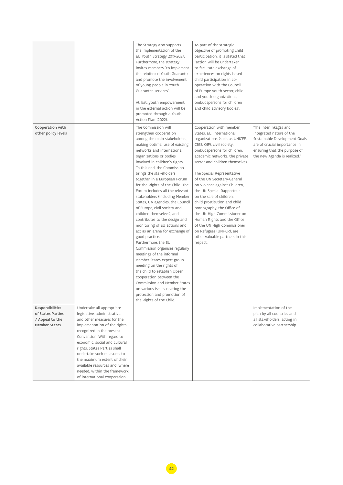|                                                                                  |                                                                                                                                                                                                                                                                                                                                                                                                                     | The Strategy also supports<br>the implementation of the<br>EU Youth Strategy 2019-2027.<br>Furthermore, the strategy<br>invites members "to implement<br>the reinforced Youth Guarantee<br>and promote the involvement<br>of young people in Youth<br>Guarantee services".<br>At last, youth empowerment<br>in the external action will be<br>promoted through a Youth<br>Action Plan (2022).                                                                                                                                                                                                                                                                                                                                                                                                                                                                                                                                                                                | As part of the strategic<br>objective of promoting child<br>participation, it is stated that<br>"action will be undertaken<br>to facilitate exchange of<br>experiences on rights-based<br>child participation in co-<br>operation with the Council<br>of Europe youth sector, child<br>and youth organizations,<br>ombudspersons for children<br>and child advisory bodies".                                                                                                                                                                                                                                          |                                                                                                                                                                                     |
|----------------------------------------------------------------------------------|---------------------------------------------------------------------------------------------------------------------------------------------------------------------------------------------------------------------------------------------------------------------------------------------------------------------------------------------------------------------------------------------------------------------|------------------------------------------------------------------------------------------------------------------------------------------------------------------------------------------------------------------------------------------------------------------------------------------------------------------------------------------------------------------------------------------------------------------------------------------------------------------------------------------------------------------------------------------------------------------------------------------------------------------------------------------------------------------------------------------------------------------------------------------------------------------------------------------------------------------------------------------------------------------------------------------------------------------------------------------------------------------------------|-----------------------------------------------------------------------------------------------------------------------------------------------------------------------------------------------------------------------------------------------------------------------------------------------------------------------------------------------------------------------------------------------------------------------------------------------------------------------------------------------------------------------------------------------------------------------------------------------------------------------|-------------------------------------------------------------------------------------------------------------------------------------------------------------------------------------|
| Cooperation with<br>other policy levels                                          |                                                                                                                                                                                                                                                                                                                                                                                                                     | The Commission will<br>strengthen cooperation<br>among the main stakeholders,<br>making optimal use of existing<br>networks and international<br>organizations or bodies<br>involved in children's rights.<br>To this end, the Commission<br>brings the stakeholders<br>together in a European Forum<br>for the Rights of the Child. The<br>Forum includes all the relevant<br>stakeholders (including Member<br>States, UN agencies, the Council<br>of Europe, civil society and<br>children themselves), and<br>contributes to the design and<br>monitoring of EU actions and<br>act as an arena for exchange of<br>good practice.<br>Furthermore, the EU<br>Commission organises regularly<br>meetings of the informal<br>Member States expert group<br>meeting on the rights of<br>the child to establish closer<br>cooperation between the<br>Commission and Member States<br>on various issues relating the<br>protection and promotion of<br>the Rights of the Child. | Cooperation with member<br>States, EU, international<br>organizations (such as UNICEF,<br>CBSS, OIF), civil society,<br>ombudspersons for children,<br>academic networks, the private<br>sector and children themselves.<br>The Special Representative<br>of the UN Secretary-General<br>on Violence against Children,<br>the UN Special Rapporteur<br>on the sale of children,<br>child prostitution and child<br>pornography, the Office of<br>the UN High Commissioner on<br>Human Rights and the Office<br>of the UN High Commissioner<br>on Refugees (UNHCR), are<br>other valuable partners in this<br>respect. | "The interlinkages and<br>integrated nature of the<br>Sustainable Development Goals<br>are of crucial importance in<br>ensuring that the purpose of<br>the new Agenda is realized." |
| Responsibilities<br>of States Parties<br>/ Appeal to the<br><b>Member States</b> | Undertake all appropriate<br>legislative, administrative,<br>and other measures for the<br>implementation of the rights<br>recognized in the present<br>Convention. With regard to<br>economic, social and cultural<br>rights, States Parties shall<br>undertake such measures to<br>the maximum extent of their<br>available resources and, where<br>needed, within the framework<br>of international cooperation. |                                                                                                                                                                                                                                                                                                                                                                                                                                                                                                                                                                                                                                                                                                                                                                                                                                                                                                                                                                              |                                                                                                                                                                                                                                                                                                                                                                                                                                                                                                                                                                                                                       | Implementation of the<br>plan by all countries and<br>all stakeholders, acting in<br>collaborative partnership                                                                      |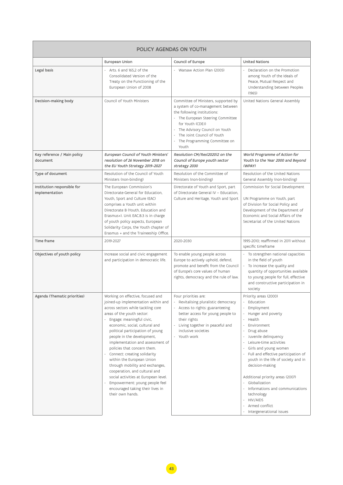| POLICY AGENDAS ON YOUTH                       |                                                                                                                                                                                                                                                                                                                                                                                                                                                                                                                                                                                                                     |                                                                                                                                                                                                                                                                             |                                                                                                                                                                                                                                                                                                                                                                                                                                                                     |  |  |
|-----------------------------------------------|---------------------------------------------------------------------------------------------------------------------------------------------------------------------------------------------------------------------------------------------------------------------------------------------------------------------------------------------------------------------------------------------------------------------------------------------------------------------------------------------------------------------------------------------------------------------------------------------------------------------|-----------------------------------------------------------------------------------------------------------------------------------------------------------------------------------------------------------------------------------------------------------------------------|---------------------------------------------------------------------------------------------------------------------------------------------------------------------------------------------------------------------------------------------------------------------------------------------------------------------------------------------------------------------------------------------------------------------------------------------------------------------|--|--|
|                                               | European Union                                                                                                                                                                                                                                                                                                                                                                                                                                                                                                                                                                                                      | Council of Europe                                                                                                                                                                                                                                                           | <b>United Nations</b>                                                                                                                                                                                                                                                                                                                                                                                                                                               |  |  |
| Legal basis                                   | - Arts. $6$ and $165,2$ of the<br>Consolidated Version of the<br>Treaty on the Functioning of the<br>European Union of 2008                                                                                                                                                                                                                                                                                                                                                                                                                                                                                         | - Warsaw Action Plan (2005)                                                                                                                                                                                                                                                 | - Declaration on the Promotion<br>among Youth of the Ideals of<br>Peace, Mutual Respect and<br>Understanding between Peoples<br>(1965)                                                                                                                                                                                                                                                                                                                              |  |  |
| Decision-making body                          | Council of Youth Ministers                                                                                                                                                                                                                                                                                                                                                                                                                                                                                                                                                                                          | Committee of Ministers, supported by<br>a system of co-management between<br>the following institutions:<br>- The European Steering Committee<br>for Youth (CDEJ)<br>The Advisory Council on Youth<br>The Joint Council of Youth<br>- The Programming Committee on<br>Youth | United Nations General Assembly                                                                                                                                                                                                                                                                                                                                                                                                                                     |  |  |
| Key reference / Main policy<br>document       | European Council of Youth Ministers'<br>resolution of 26 November 2018 on<br>the EU Youth Strategy 2019-2027                                                                                                                                                                                                                                                                                                                                                                                                                                                                                                        | Resolution CM/Res(2020)2 on the<br>Council of Europe youth sector<br>strategy 2030                                                                                                                                                                                          | World Programme of Action for<br>Youth to the Year 2000 and Beyond<br>(WPAY)                                                                                                                                                                                                                                                                                                                                                                                        |  |  |
| Type of document                              | Resolution of the Council of Youth<br>Ministers (non-binding)                                                                                                                                                                                                                                                                                                                                                                                                                                                                                                                                                       | Resolution of the Committee of<br>Ministers (non-binding)                                                                                                                                                                                                                   | Resolution of the United Nations<br>General Assembly (non-binding)                                                                                                                                                                                                                                                                                                                                                                                                  |  |  |
| Institution responsible for<br>implementation | The European Commission's<br>Directorate-General for Education.<br>Youth, Sport and Culture (EAC)<br>comprises a Youth unit within<br>Directorate B (Youth, Education and<br>Erasmus+). Unit EAC.B.3 is in charge<br>of youth policy aspects, European<br>Solidarity Corps, the Youth chapter of<br>Erasmus + and the Traineeship Office.                                                                                                                                                                                                                                                                           | Directorate of Youth and Sport, part<br>of Directorate General IV - Education,<br>Culture and Heritage, Youth and Sport                                                                                                                                                     | Commission for Social Development<br>UN Programme on Youth, part<br>of Division for Social Policy and<br>Development of the Department of<br>Economic and Social Affairs of the<br>Secretariat of the United Nations                                                                                                                                                                                                                                                |  |  |
| Time frame                                    | 2019-2027                                                                                                                                                                                                                                                                                                                                                                                                                                                                                                                                                                                                           | 2020-2030                                                                                                                                                                                                                                                                   | 1995-2010; reaffirmed in 2011 without<br>specific timeframe                                                                                                                                                                                                                                                                                                                                                                                                         |  |  |
| Objectives of youth policy                    | Increase social and civic engagement<br>and participation in democratic life.                                                                                                                                                                                                                                                                                                                                                                                                                                                                                                                                       | To enable young people across<br>Europe to actively uphold, defend,<br>promote and benefit from the Council<br>of Europe's core values of human<br>rights, democracy and the rule of law.                                                                                   | - To strengthen national capacities<br>in the field of youth<br>- To increase the quality and<br>quantity of opportunities available<br>to young people for full, effective<br>and constructive participation in<br>society                                                                                                                                                                                                                                         |  |  |
| Agenda (Thematic priorities)                  | Working on effective, focused and<br>joined-up implementation within and<br>across sectors while tackling core<br>areas of the youth sector:<br>Engage: meaningful civic,<br>economic, social, cultural and<br>political participation of young<br>people in the development,<br>implementation and assessment of<br>policies that concern them.<br>Connect: creating solidarity<br>within the European Union<br>through mobility and exchanges,<br>cooperation, and cultural and<br>social activities at European level.<br>Empowerment: young people feel<br>encouraged taking their lives in<br>their own hands. | Four priorities are:<br>Revitalising pluralistic democracy<br>- Access to rights: guaranteeing<br>better access for young people to<br>their rights<br>- Living together in peaceful and<br>inclusive societies<br>- Youth work                                             | Priority areas (2000)<br>Education<br>Employment<br>Hunger and poverty<br>Health<br>Environment<br>Drug abuse<br>Juvenile delinquency<br>Leisure-time activities<br>Girls and young women<br>Full and effective participation of<br>youth in the life of society and in<br>decision-making<br>Additional priority areas (2007)<br>Globalization<br>Informations and communications<br>technology<br><b>HIV/AIDS</b><br>Armed conflict<br>- Intergenerational issues |  |  |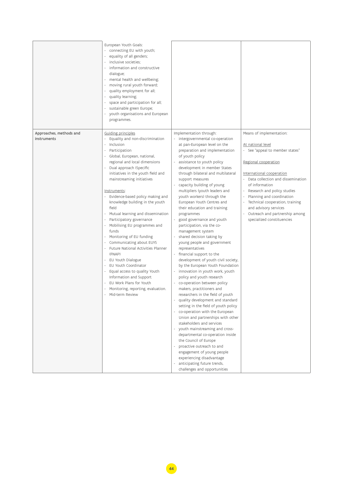|                                        | European Youth Goals:<br>connecting EU with youth;<br>equality of all genders;<br>inclusive societies;<br>$\sim$<br>information and constructive<br>dialogue;<br>mental health and wellbeing;<br>$\overline{\phantom{a}}$<br>moving rural youth forward;<br>quality employment for all;<br>quality learning;<br>$\overline{\phantom{a}}$<br>space and participation for all;<br>sustainable green Europe;<br>youth organisations and European<br>programmes.                                                                                                                                                                                                                                                                                                                                                                                                               |                                                                                                                                                                                                                                                                                                                                                                                                                                                                                                                                                                                                                                                                                                                                                                                                                                                                                                                                                                                                                                                                                                                                                                                                                                                                                                                                                                     |                                                                                                                                                                                                                                                                                                                                                                                                     |
|----------------------------------------|----------------------------------------------------------------------------------------------------------------------------------------------------------------------------------------------------------------------------------------------------------------------------------------------------------------------------------------------------------------------------------------------------------------------------------------------------------------------------------------------------------------------------------------------------------------------------------------------------------------------------------------------------------------------------------------------------------------------------------------------------------------------------------------------------------------------------------------------------------------------------|---------------------------------------------------------------------------------------------------------------------------------------------------------------------------------------------------------------------------------------------------------------------------------------------------------------------------------------------------------------------------------------------------------------------------------------------------------------------------------------------------------------------------------------------------------------------------------------------------------------------------------------------------------------------------------------------------------------------------------------------------------------------------------------------------------------------------------------------------------------------------------------------------------------------------------------------------------------------------------------------------------------------------------------------------------------------------------------------------------------------------------------------------------------------------------------------------------------------------------------------------------------------------------------------------------------------------------------------------------------------|-----------------------------------------------------------------------------------------------------------------------------------------------------------------------------------------------------------------------------------------------------------------------------------------------------------------------------------------------------------------------------------------------------|
| Approaches, methods and<br>instruments | Guiding principles<br>Equality and non-discrimination<br>Inclusion<br>$\overline{\phantom{a}}$<br>Participation<br>Global, European, national,<br>$\sim$<br>regional and local dimensions<br>Dual approach (Specific<br>initiatives in the youth field and<br>mainstreaming initiatives<br>Instruments:<br>- Evidence-based policy making and<br>knowledge building in the youth<br>field<br>Mutual learning and dissemination<br>Participatory governance<br>Mobilising EU programmes and<br>$\overline{\phantom{a}}$<br>funds<br>Monitoring of EU funding<br>Communicating about EUYS<br>- Future National Activities Planner<br>(FNAP)<br>- EU Youth Dialogue<br>EU Youth Coordinator<br>$\overline{\phantom{a}}$<br>Equal access to quality Youth<br>Information and Support<br>EU Work Plans for Youth<br>Monitoring, reporting, evaluation.<br>Mid-term Review<br>×. | Implementation through:<br>- intergovernmental co-operation<br>at pan-European level on the<br>preparation and implementation<br>of youth policy<br>assistance to youth policy<br>$\overline{\phantom{a}}$<br>development in member States<br>through bilateral and multilateral<br>support measures<br>capacity building of young<br>multipliers (youth leaders and<br>youth workers) through the<br>European Youth Centres and<br>their education and training<br>programmes<br>good governance and youth<br>participation, via the co-<br>management system<br>shared decision taking by<br>young people and government<br>representatives<br>- financial support to the<br>development of youth civil society,<br>by the European Youth Foundation<br>innovation in youth work, youth<br>policy and youth research<br>- co-operation between policy<br>makers, practitioners and<br>researchers in the field of youth<br>quality development and standard<br>setting in the field of youth policy<br>- co-operation with the European<br>Union and partnerships with other<br>stakeholders and services<br>- youth mainstreaming and cross-<br>departmental co-operation inside<br>the Council of Europe<br>proactive outreach to and<br>engagement of young people<br>experiencing disadvantage<br>anticipating future trends,<br>challenges and opportunities | Means of implementation:<br><u>At national level</u><br>- See "appeal to member states"<br>Regional cooperation<br>International cooperation<br>- Data collection and dissemination<br>of information<br>- Research and policy studies<br>- Planning and coordination<br>Technical cooperation, training<br>and advisory services<br>- Outreach and partnership among<br>specialized constituencies |